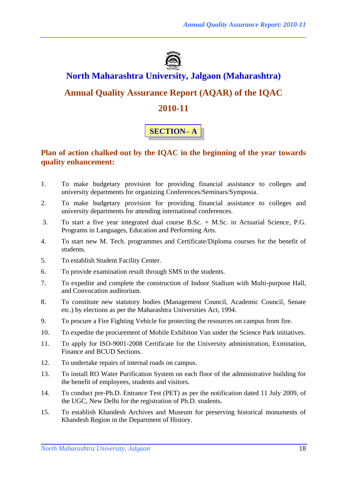

# **North Maharashtra University, Jalgaon (Maharashtra)**

## **Annual Quality Assurance Report (AQAR) of the IQAC**

## **2010-11**

# **SECTION– A**

## **Plan of action chalked out by the IQAC in the beginning of the year towards quality enhancement:**

- 1. To make budgetary provision for providing financial assistance to colleges and university departments for organizing Conferences/Seminars/Symposia.
- 2. To make budgetary provision for providing financial assistance to colleges and university departments for attending international conferences.
- 3. To start a five year integrated dual course B.Sc. + M.Sc. in Actuarial Science, P.G. Programs in Languages, Education and Performing Arts.
- 4. To start new M. Tech. programmes and Certificate/Diploma courses for the benefit of students.
- 5. To establish Student Facility Center.
- 6. To provide examination result through SMS to the students.
- 7. To expedite and complete the construction of Indoor Stadium with Multi-purpose Hall, and Convocation auditorium.
- 8. To constitute new statutory bodies (Management Council, Academic Council, Senate etc.) by elections as per the Maharashtra Universities Act, 1994.
- 9. To procure a Fire Fighting Vehicle for protecting the resources on campus from fire.
- 10. To expedite the procurement of Mobile Exhibiton Van under the Science Park initiatives.
- 11. To apply for ISO-9001-2008 Certificate for the University administration, Exmination, Finance and BCUD Sections.
- 12. To undertake repairs of internal roads on campus.
- 13. To install RO Water Purification System on each floor of the administrative building for the benefit of employees, students and visitors.
- 14. To conduct pre-Ph.D. Entrance Test (PET) as per the notification dated 11 July 2009, of the UGC, New Delhi for the registration of Ph.D. students.
- 15. To establish Khandesh Archives and Museum for preserving historical monuments of Khandesh Region in the Department of History.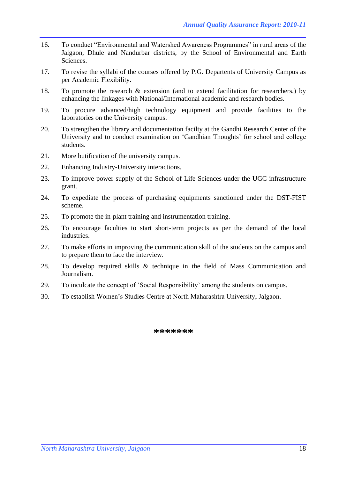- 16. To conduct "Environmental and Watershed Awareness Programmes" in rural areas of the Jalgaon, Dhule and Nandurbar districts, by the School of Environmental and Earth Sciences.
- 17. To revise the syllabi of the courses offered by P.G. Departents of University Campus as per Academic Flexibility.
- 18. To promote the research & extension (and to extend facilitation for researchers,) by enhancing the linkages with National/International academic and research bodies.
- 19. To procure advanced/high technology equipment and provide facilities to the laboratories on the University campus.
- 20. To strengthen the library and documentation facilty at the Gandhi Research Center of the University and to conduct examination on 'Gandhian Thoughts' for school and college students.
- 21. More butification of the university campus.
- 22. Enhancing Industry-University interactions.
- 23. To improve power supply of the School of Life Sciences under the UGC infrastructure grant.
- 24. To expediate the process of purchasing equipments sanctioned under the DST-FIST scheme.
- 25. To promote the in-plant training and instrumentation training.
- 26. To encourage faculties to start short-term projects as per the demand of the local industries.
- 27. To make efforts in improving the communication skill of the students on the campus and to prepare them to face the interview.
- 28. To develop required skills & technique in the field of Mass Communication and Journalism.
- 29. To inculcate the concept of 'Social Responsibility' among the students on campus.
- 30. To establish Women's Studies Centre at North Maharashtra University, Jalgaon.

**\*\*\*\*\*\*\***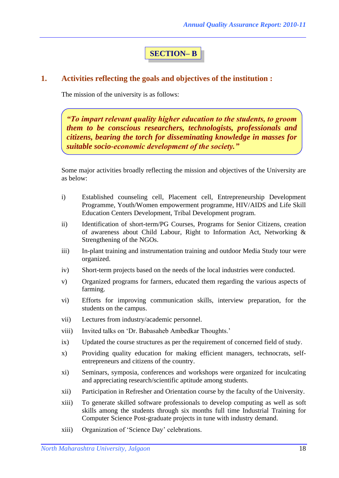## **SECTION– B**

#### **1. Activities reflecting the goals and objectives of the institution :**

The mission of the university is as follows:

*"To impart relevant quality higher education to the students, to groom them to be conscious researchers, technologists, professionals and citizens, bearing the torch for disseminating knowledge in masses for suitable socio-economic development of the society."*

Some major activities broadly reflecting the mission and objectives of the University are as below:

- i) Established counseling cell, Placement cell, Entrepreneurship Development Programme, Youth/Women empowerment programme, HIV/AIDS and Life Skill Education Centers Development, Tribal Development program.
- ii) Identification of short-term/PG Courses, Programs for Senior Citizens, creation of awareness about Child Labour, Right to Information Act, Networking & Strengthening of the NGOs.
- iii) In-plant training and instrumentation training and outdoor Media Study tour were organized.
- iv) Short-term projects based on the needs of the local industries were conducted.
- v) Organized programs for farmers, educated them regarding the various aspects of farming.
- vi) Efforts for improving communication skills, interview preparation, for the students on the campus.
- vii) Lectures from industry/academic personnel.
- viii) Invited talks on 'Dr. Babasaheb Ambedkar Thoughts.'
- ix) Updated the course structures as per the requirement of concerned field of study.
- x) Providing quality education for making efficient managers, technocrats, selfentrepreneurs and citizens of the country.
- xi) Seminars, symposia, conferences and workshops were organized for inculcating and appreciating research/scientific aptitude among students.
- xii) Participation in Refresher and Orientation course by the faculty of the University.
- xiii) To generate skilled software professionals to develop computing as well as soft skills among the students through six months full time Industrial Training for Computer Science Post-graduate projects in tune with industry demand.
- xiii) Organization of 'Science Day' celebrations.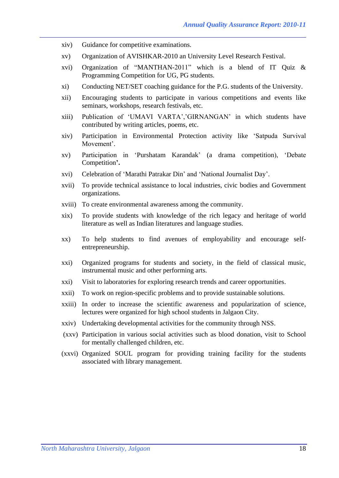- xiv) Guidance for competitive examinations.
- xv) Organization of AVISHKAR-2010 an University Level Research Festival.
- xvi) Organization of "MANTHAN-2011" which is a blend of IT Quiz & Programming Competition for UG, PG students.
- xi) Conducting NET/SET coaching guidance for the P.G. students of the University.
- xii) Encouraging students to participate in various competitions and events like seminars, workshops, research festivals, etc.
- xiii) Publication of 'UMAVI VARTA','GIRNANGAN' in which students have contributed by writing articles, poems, etc.
- xiv) Participation in Environmental Protection activity like 'Satpuda Survival Movement'.
- xv) Participation in 'Purshatam Karandak' (a drama competition), 'Debate Competition**'.**
- xvi) Celebration of 'Marathi Patrakar Din' and 'National Journalist Day'.
- xvii) To provide technical assistance to local industries, civic bodies and Government organizations.
- xviii) To create environmental awareness among the community.
- xix) To provide students with knowledge of the rich legacy and heritage of world literature as well as Indian literatures and language studies.
- xx) To help students to find avenues of employability and encourage selfentrepreneurship.
- xxi) Organized programs for students and society, in the field of classical music, instrumental music and other performing arts.
- xxi) Visit to laboratories for exploring research trends and career opportunities.
- xxii) To work on region-specific problems and to provide sustainable solutions.
- xxiii) In order to increase the scientific awareness and popularization of science, lectures were organized for high school students in Jalgaon City.
- xxiv) Undertaking developmental activities for the community through NSS.
- (xxv) Participation in various social activities such as blood donation, visit to School for mentally challenged children, etc.
- (xxvi) Organized SOUL program for providing training facility for the students associated with library management.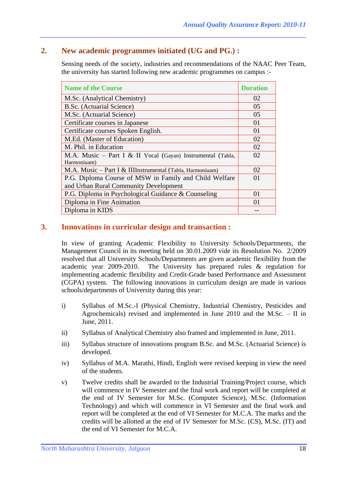## **2. New academic programmes initiated (UG and PG.) :**

Sensing needs of the society, industries and recommendations of the NAAC Peer Team, the university has started following new academic programmes on campus :-

| <b>Name of the Course</b>                                                                       | <b>Duration</b> |
|-------------------------------------------------------------------------------------------------|-----------------|
| M.Sc. (Analytical Chemistry)                                                                    | 02              |
| B.Sc. (Actuarial Science)                                                                       | 05              |
| M.Sc. (Actuarial Science)                                                                       | 05              |
| Certificate courses in Japanese                                                                 | 01              |
| Certificate courses Spoken English.                                                             | 01              |
| M.Ed. (Master of Education)                                                                     | 02              |
| M. Phil. in Education                                                                           | 02              |
| M.A. Music - Part I & II Vocal (Gayan) Instrumental (Tabla,<br>Harmoniuam)                      | 02              |
| M.A. Music - Part I & IIIInstrumental (Tabla, Harmoniuam)                                       | 02              |
| P.G. Diploma Course of MSW in Family and Child Welfare<br>and Urban Rural Community Development | 01              |
| P.G. Diploma in Psychological Guidance & Counseling                                             | $\Omega$ 1      |
| Diploma in Fine Animation                                                                       | 01              |
| Diploma in KIDS                                                                                 |                 |

## **3. Innovations in curricular design and transaction :**

In view of granting Academic Flexibility to University Schools/Departments, the Management Council in its meeting held on 30.01.2009 vide its Resolution No. 2/2009 resolved that all University Schools/Departments are given academic flexibility from the academic year 2009-2010. The University has prepared rules & regulation for implementing academic flexibility and Credit-Grade based Performance and Assessment (CGPA) system. The following innovations in curriculum design are made in various schools/departments of University during this year:

- i) Syllabus of M.Sc.-I (Physical Chemistry, Industrial Chemistry, Pesticides and Agrochemicals) revised and implemented in June 2010 and the M.Sc. – II in June, 2011.
- ii) Syllabus of Analytical Chemistry also framed and implemented in June, 2011.
- iii) Syllabus structure of innovations program B.Sc. and M.Sc. (Actuarial Science) is developed.
- iv) Syllabus of M.A. Marathi, Hindi, English were revised keeping in view the need of the students.
- v) Twelve credits shall be awarded to the Industrial Training/Project course, which will commence in IV Semester and the final work and report will be completed at the end of IV Semester for M.Sc. (Computer Science), M.Sc. (Information Technology) and which will commence in VI Semester and the final work and report will be completed at the end of VI Semester for M.C.A. The marks and the credits will be allotted at the end of IV Semester for M.Sc. (CS), M.Sc. (IT) and the end of VI Semester for M.C.A.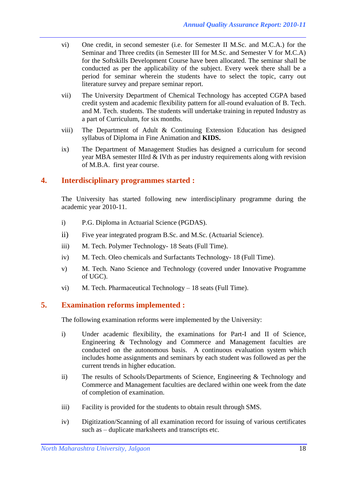- vi) One credit, in second semester (i.e. for Semester II M.Sc. and M.C.A.) for the Seminar and Three credits (in Semester III for M.Sc. and Semester V for M.C.A) for the Softskills Development Course have been allocated. The seminar shall be conducted as per the applicability of the subject. Every week there shall be a period for seminar wherein the students have to select the topic, carry out literature survey and prepare seminar report.
- vii) The University Department of Chemical Technology has accepted CGPA based credit system and academic flexibility pattern for all-round evaluation of B. Tech. and M. Tech. students. The students will undertake training in reputed Industry as a part of Curriculum, for six months.
- viii) The Department of Adult & Continuing Extension Education has designed syllabus of Diploma in Fine Animation and **KIDS.**
- ix) The Department of Management Studies has designed a curriculum for second year MBA semester IIIrd & IVth as per industry requirements along with revision of M.B.A. first year course.

#### **4. Interdisciplinary programmes started :**

The University has started following new interdisciplinary programme during the academic year 2010-11.

- i) P.G. Diploma in Actuarial Science (PGDAS).
- ii) Five year integrated program B.Sc. and M.Sc. (Actuarial Science).
- iii) M. Tech. Polymer Technology- 18 Seats (Full Time).
- iv) M. Tech. Oleo chemicals and Surfactants Technology- 18 (Full Time).
- v) M. Tech. Nano Science and Technology (covered under Innovative Programme of UGC).
- vi) M. Tech. Pharmaceutical Technology 18 seats (Full Time).

## **5. Examination reforms implemented :**

The following examination reforms were implemented by the University:

- i) Under academic flexibility, the examinations for Part-I and II of Science, Engineering & Technology and Commerce and Management faculties are conducted on the autonomous basis. A continuous evaluation system which includes home assignments and seminars by each student was followed as per the current trends in higher education.
- ii) The results of Schools/Departments of Science, Engineering & Technology and Commerce and Management faculties are declared within one week from the date of completion of examination.
- iii) Facility is provided for the students to obtain result through SMS.
- iv) Digitization/Scanning of all examination record for issuing of various certificates such as – duplicate marksheets and transcripts etc.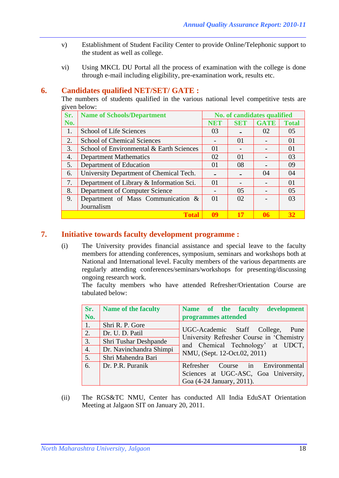- v) Establishment of Student Facility Center to provide Online/Telephonic support to the student as well as college.
- vi) Using MKCL DU Portal all the process of examination with the college is done through e-mail including eligibility, pre-examination work, results etc.

#### **6. Candidates qualified NET/SET/ GATE :**

The numbers of students qualified in the various national level competitive tests are given below:

| Sr. | <b>Name of Schools/Department</b>        | No. of candidates qualified |            |             |              |
|-----|------------------------------------------|-----------------------------|------------|-------------|--------------|
| No. |                                          | <b>NET</b>                  | <b>SET</b> | <b>GATE</b> | <b>Total</b> |
| 1.  | School of Life Sciences                  | 03                          |            | 02          | 05           |
| 2.  | <b>School of Chemical Sciences</b>       |                             | 01         |             | 01           |
| 3.  | School of Environmental & Earth Sciences | 01                          |            |             | 01           |
| 4.  | <b>Department Mathematics</b>            | 02                          | $\Omega$   |             | 03           |
| 5.  | Department of Education                  | 01                          | 08         |             | 09           |
| 6.  | University Department of Chemical Tech.  |                             |            | 04          | 04           |
| 7.  | Department of Library & Information Sci. | 01                          |            |             | 01           |
| 8.  | Department of Computer Science           |                             | 05         |             | 05           |
| 9.  | Department of Mass Communication &       | 01                          | 02         |             | 03           |
|     | Journalism                               |                             |            |             |              |
|     | <b>Total</b>                             | 09                          |            | 06          | 32           |

## **7. Initiative towards faculty development programme :**

(i) The University provides financial assistance and special leave to the faculty members for attending conferences, symposium, seminars and workshops both at National and International level. Faculty members of the various departments are regularly attending conferences/seminars/workshops for presenting/discussing ongoing research work.

The faculty members who have attended Refresher/Orientation Course are tabulated below:

| Sr.              | <b>Name of the faculty</b> | development<br>Name of the faculty                                             |
|------------------|----------------------------|--------------------------------------------------------------------------------|
| No.              |                            | programmes attended                                                            |
| $\sqrt{1.7}$     | Shri R. P. Gore            |                                                                                |
| 2.               | Dr. U. D. Patil            | UGC-Academic Staff College, Pune                                               |
| 3.               | Shri Tushar Deshpande      | University Refresher Course in 'Chemistry<br>and Chemical Technology' at UDCT, |
| $\overline{4}$ . | Dr. Navinchandra Shimpi    | NMU, (Sept. 12-Oct.02, 2011)                                                   |
| 5.               | Shri Mahendra Bari         |                                                                                |
| 6.               | Dr. P.R. Puranik           | Refresher Course in Environmental                                              |
|                  |                            | Sciences at UGC-ASC, Goa University,                                           |
|                  |                            | Goa (4-24 January, 2011).                                                      |

(ii) The RGS&TC NMU, Center has conducted All India EduSAT Orientation Meeting at Jalgaon SIT on January 20, 2011.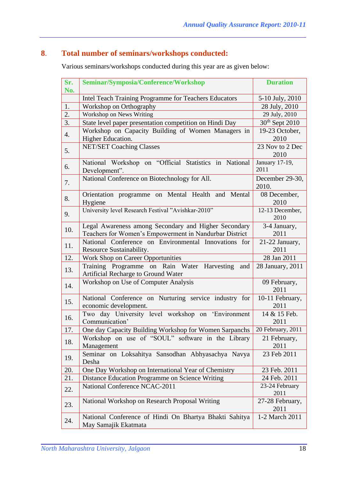# **8**. **Total number of seminars/workshops conducted:**

Various seminars/workshops conducted during this year are as given below:

| Sr. | Seminar/Symposia/Conference/Workshop                                                                           | <b>Duration</b>            |
|-----|----------------------------------------------------------------------------------------------------------------|----------------------------|
| No. |                                                                                                                |                            |
|     | Intel Teach Training Programme for Teachers Educators                                                          | 5-10 July, 2010            |
| 1.  | Workshop on Orthography                                                                                        | 28 July, 2010              |
| 2.  | Workshop on News Writing                                                                                       | 29 July, 2010              |
| 3.  | State level paper presentation competition on Hindi Day                                                        | 30 <sup>th</sup> Sept 2010 |
| 4.  | Workshop on Capacity Building of Women Managers in<br>Higher Education.                                        | 19-23 October,<br>2010     |
| 5.  | <b>NET/SET Coaching Classes</b>                                                                                | 23 Nov to 2 Dec<br>2010    |
| 6.  | National Workshop on "Official Statistics in National<br>Development".                                         | January 17-19,<br>2011     |
| 7.  | National Conference on Biotechnology for All.                                                                  | December 29-30,<br>2010.   |
| 8.  | Orientation programme on Mental Health and Mental<br>Hygiene                                                   | 08 December,<br>2010       |
| 9.  | University level Research Festival "Avishkar-2010"                                                             | 12-13 December,<br>2010    |
| 10. | Legal Awareness among Secondary and Higher Secondary<br>Teachers for Women's Empowerment in Nandurbar District | 3-4 January,<br>2011       |
| 11. | National Conference on Environmental Innovations for<br>Resource Sustainability.                               | 21-22 January,<br>2011     |
| 12. | Work Shop on Career Opportunities                                                                              | 28 Jan 2011                |
| 13. | Training Programme on Rain Water Harvesting<br>and<br>Artificial Recharge to Ground Water                      | 28 January, 2011           |
| 14. | Workshop on Use of Computer Analysis                                                                           | 09 February,<br>2011       |
| 15. | National Conference on Nurturing service industry for<br>economic development.                                 | 10-11 February,<br>2011    |
| 16. | Two day University level workshop on 'Environment<br>Communication'                                            | 14 & 15 Feb.<br>2011       |
| 17. | One day Capacity Building Workshop for Women Sarpanchs   20 February, 2011                                     |                            |
| 18. | Workshop on use of "SOUL" software in the Library<br>Management                                                | 21 February,<br>2011       |
| 19. | Seminar on Loksahitya Sansodhan Abhyasachya Navya<br>Desha                                                     | 23 Feb 2011                |
| 20. | One Day Workshop on International Year of Chemistry                                                            | 23 Feb. 2011               |
| 21. | Distance Education Programme on Science Writing                                                                | 24 Feb. 2011               |
| 22. | National Conference NCAC-2011                                                                                  | 23-24 February<br>2011     |
| 23. | National Workshop on Research Proposal Writing                                                                 | 27-28 February,<br>2011    |
| 24. | National Conference of Hindi On Bhartya Bhakti Sahitya<br>May Samajik Ekatmata                                 | 1-2 March 2011             |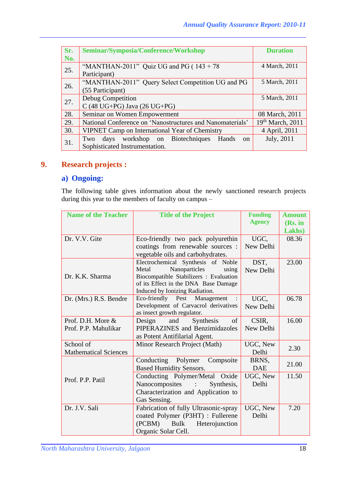| Sr. | Seminar/Symposia/Conference/Workshop                               | <b>Duration</b>    |
|-----|--------------------------------------------------------------------|--------------------|
| No. |                                                                    |                    |
| 25. | "MANTHAN-2011" Quiz UG and PG ( $143 + 78$                         | 4 March, 2011      |
|     | Participant)                                                       |                    |
| 26. | "MANTHAN-2011" Query Select Competition UG and PG                  | 5 March, 2011      |
|     | (55 Participant)                                                   |                    |
| 27. | Debug Competition                                                  | 5 March, 2011      |
|     | $C$ (48 UG+PG) Java (26 UG+PG)                                     |                    |
| 28. | Seminar on Women Empowerment                                       | 08 March, 2011     |
| 29. | National Conference on 'Nanostructures and Nanomaterials'          | $19th$ March, 2011 |
| 30. | VIPNET Camp on International Year of Chemistry                     | 4 April, 2011      |
| 31. | workshop on Biotechniques<br>Two<br>Hands<br>days<br><sub>on</sub> | July, 2011         |
|     | Sophisticated Instrumentation.                                     |                    |

## **9. Research projects :**

## **a) Ongoing:**

The following table gives information about the newly sanctioned research projects during this year to the members of faculty on campus –

| <b>Name of the Teacher</b>   | <b>Title of the Project</b>                  | <b>Funding</b> | <b>Amount</b> |
|------------------------------|----------------------------------------------|----------------|---------------|
|                              |                                              | <b>Agency</b>  | (Rs. in       |
|                              |                                              |                | Lakhs)        |
| Dr. V.V. Gite                | Eco-friendly two pack polyurethin            | UGC,           | 08.36         |
|                              | coatings from renewable sources :            | New Delhi      |               |
|                              | vegetable oils and carbohydrates.            |                |               |
|                              | Electrochemical Synthesis of Noble           | DST,           | 23.00         |
|                              | Nanoparticles<br>Metal<br>using              | New Delhi      |               |
| Dr. K.K. Sharma              | Biocompatible Stabilizers : Evaluation       |                |               |
|                              | of its Effect in the DNA Base Damage         |                |               |
|                              | Induced by Ionizing Radiation.               |                |               |
| Dr. (Mrs.) R.S. Bendre       | Eco-friendly Pest Management                 | UGC,           | 06.78         |
|                              | Development of Carvacrol derivatives         | New Delhi      |               |
|                              | as insect growth regulator.                  |                |               |
| Prof. D.H. More &            | Design<br>and<br>Synthesis<br>of             | CSIR,          | 16.00         |
| Prof. P.P. Mahulikar         | PIPERAZINES and Benzimidazoles               | New Delhi      |               |
|                              | as Potent Antifilarial Agent.                |                |               |
| School of                    | Minor Research Project (Math)                | UGC, New       | 2.30          |
| <b>Mathematical Sciences</b> |                                              | Delhi          |               |
|                              | Conducting<br>Polymer<br>Compsoite           | BRNS,          |               |
|                              | <b>Based Humidity Sensors.</b>               | <b>DAE</b>     | 21.00         |
| Prof. P.P. Patil             | Conducting Polymer/Metal Oxide               | UGC, New       | 11.50         |
|                              | Nanocomposites<br>Synthesis,<br>$\mathbf{H}$ | Delhi          |               |
|                              | Characterization and Application to          |                |               |
|                              | Gas Sensing.                                 |                |               |
| Dr. J.V. Sali                | Fabrication of fully Ultrasonic-spray        | UGC, New       | 7.20          |
|                              | coated Polymer (P3HT) : Fullerene            | Delhi          |               |
|                              | (PCBM) Bulk<br>Heterojunction                |                |               |
|                              | Organic Solar Cell.                          |                |               |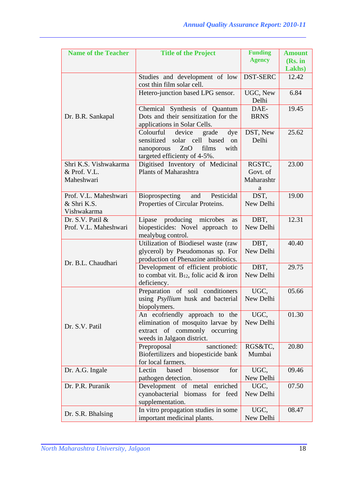| <b>Name of the Teacher</b>           | <b>Title of the Project</b>                               | <b>Funding</b>    | <b>Amount</b> |
|--------------------------------------|-----------------------------------------------------------|-------------------|---------------|
|                                      |                                                           | <b>Agency</b>     | (Rs. in       |
|                                      |                                                           |                   | Lakhs)        |
|                                      | Studies and development of low                            | <b>DST-SERC</b>   | 12.42         |
|                                      | cost thin film solar cell.                                |                   |               |
|                                      | Hetero-junction based LPG sensor.                         | UGC, New          | 6.84          |
|                                      |                                                           | Delhi             |               |
|                                      | Chemical Synthesis of Quantum                             | DAE-              | 19.45         |
| Dr. B.R. Sankapal                    | Dots and their sensitization for the                      | <b>BRNS</b>       |               |
|                                      | applications in Solar Cells.                              |                   |               |
|                                      | Colourful<br>device<br>grade<br>dye                       | DST, New          | 25.62         |
|                                      | sensitized solar cell<br>based<br>on                      | Delhi             |               |
|                                      | films<br>with<br>ZnO<br>nanoporous                        |                   |               |
|                                      | targeted efficienty of 4-5%.                              |                   |               |
| Shri K.S. Vishwakarma                | Digitised Inventory of Medicinal                          | RGSTC,            | 23.00         |
| & Prof. V.L.                         | Plants of Maharashtra                                     | Govt. of          |               |
| Maheshwari                           |                                                           | Maharashtr        |               |
|                                      |                                                           | a                 |               |
| Prof. V.L. Maheshwari<br>& Shri K.S. | Bioprospecting<br>Pesticidal<br>and                       | DST,<br>New Delhi | 19.00         |
| Vishwakarma                          | Properties of Circular Proteins.                          |                   |               |
| Dr. S.V. Patil &                     | producing microbes<br>Lipase<br><b>as</b>                 | DBT,              | 12.31         |
| Prof. V.L. Maheshwari                | biopesticides: Novel approach to                          | New Delhi         |               |
|                                      | mealybug control.                                         |                   |               |
|                                      | Utilization of Biodiesel waste (raw                       | DBT,              | 40.40         |
|                                      | glycerol) by Pseudomonas sp. For                          | New Delhi         |               |
|                                      | production of Phenazine antibiotics.                      |                   |               |
| Dr. B.L. Chaudhari                   | Development of efficient probiotic                        | DBT,              | 29.75         |
|                                      | to combat vit. $B_{12}$ , folic acid & iron               | New Delhi         |               |
|                                      | deficiency.                                               |                   |               |
|                                      | Preparation of soil conditioners                          | UGC,              | 05.66         |
|                                      | using Psyllium husk and bacterial                         | New Delhi         |               |
|                                      | biopolymers.                                              |                   |               |
|                                      | An ecofriendly approach to the                            | UGC,              | 01.30         |
| Dr. S.V. Patil                       | elimination of mosquito larvae by                         | New Delhi         |               |
|                                      | extract of commonly occurring                             |                   |               |
|                                      | weeds in Jalgaon district.                                |                   |               |
|                                      | sanctioned:<br>Preproposal                                | RGS&TC,           | 20.80         |
|                                      | Biofertilizers and biopesticide bank                      | Mumbai            |               |
| Dr. A.G. Ingale                      | for local farmers.<br>Lectin<br>biosensor<br>for<br>based |                   | 09.46         |
|                                      | pathogen detection.                                       | UGC,<br>New Delhi |               |
| Dr. P.R. Puranik                     | Development of metal enriched                             | UGC,              | 07.50         |
|                                      | cyanobacterial biomass for feed                           | New Delhi         |               |
|                                      | supplementation.                                          |                   |               |
|                                      | In vitro propagation studies in some                      | UGC,              | 08.47         |
| Dr. S.R. Bhalsing                    | important medicinal plants.                               | New Delhi         |               |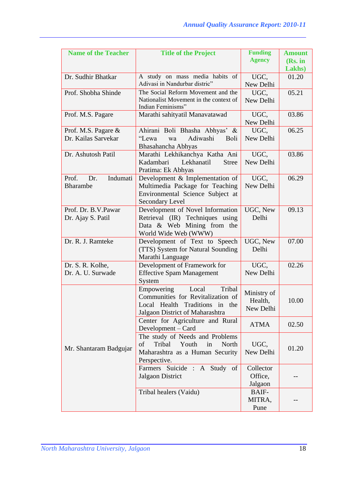| <b>Name of the Teacher</b>                  | <b>Title of the Project</b>                                                                                                             | <b>Funding</b><br><b>Agency</b>     | <b>Amount</b><br>(Rs. in<br>Lakhs) |
|---------------------------------------------|-----------------------------------------------------------------------------------------------------------------------------------------|-------------------------------------|------------------------------------|
| Dr. Sudhir Bhatkar                          | A study on mass media habits of<br>Adivasi in Nandurbar distric"                                                                        | UGC,<br>New Delhi                   | 01.20                              |
| Prof. Shobha Shinde                         | The Social Reform Movement and the<br>Nationalist Movement in the context of<br>Indian Feminisms"                                       | UGC,<br>New Delhi                   | 05.21                              |
| Prof. M.S. Pagare                           | Marathi sahityatil Manavatawad                                                                                                          | UGC,<br>New Delhi                   | 03.86                              |
| Prof. M.S. Pagare &<br>Dr. Kailas Sarvekar  | Ahirani Boli Bhasha Abhyas' &<br>"Lewa<br>Adiwashi<br>wa<br><b>Boli</b><br>Bhasahancha Abhyas                                           | UGC,<br>New Delhi                   | 06.25                              |
| Dr. Ashutosh Patil                          | Marathi Lekhikanchya Katha Ani<br>Kadambari<br>Lekhanatil<br><b>Stree</b><br>Pratima: Ek Abhyas                                         | UGC,<br>New Delhi                   | 03.86                              |
| Prof.<br>Indumati<br>Dr.<br><b>Bharambe</b> | Development & Implementation of<br>Multimedia Package for Teaching<br>Environmental Science Subject at<br>Secondary Level               | UGC,<br>New Delhi                   | 06.29                              |
| Prof. Dr. B.V.Pawar<br>Dr. Ajay S. Patil    | Development of Novel Information<br>Retrieval (IR) Techniques using<br>Data & Web Mining from the<br>World Wide Web (WWW)               | UGC, New<br>Delhi                   | 09.13                              |
| Dr. R. J. Ramteke                           | Development of Text to Speech<br>(TTS) System for Natural Sounding<br>Marathi Language                                                  | UGC, New<br>Delhi                   | 07.00                              |
| Dr. S. R. Kolhe,<br>Dr. A. U. Surwade       | Development of Framework for<br><b>Effective Spam Management</b><br>System                                                              | UGC,<br>New Delhi                   | 02.26                              |
|                                             | Empowering<br>Tribal<br>Local<br>Communities for Revitalization of<br>Local Health Traditions in the<br>Jalgaon District of Maharashtra | Ministry of<br>Health,<br>New Delhi | 10.00                              |
|                                             | Center for Agriculture and Rural<br>Development – Card                                                                                  | <b>ATMA</b>                         | 02.50                              |
| Mr. Shantaram Badgujar                      | The study of Needs and Problems<br>Youth<br>of<br>Tribal<br>in<br>North<br>Maharashtra as a Human Security<br>Perspective.              | UGC,<br>New Delhi                   | 01.20                              |
|                                             | Farmers Suicide : A Study of<br>Jalgaon District                                                                                        | Collector<br>Office,<br>Jalgaon     |                                    |
|                                             | Tribal healers (Vaidu)                                                                                                                  | BAIF-<br>MITRA,<br>Pune             |                                    |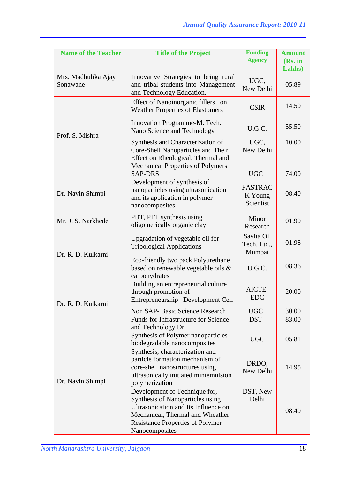| <b>Name of the Teacher</b>      | <b>Title of the Project</b>                                                                                                                                                                                | <b>Funding</b><br><b>Agency</b>        | <b>Amount</b><br>(Rs. in<br>Lakhs) |
|---------------------------------|------------------------------------------------------------------------------------------------------------------------------------------------------------------------------------------------------------|----------------------------------------|------------------------------------|
| Mrs. Madhulika Ajay<br>Sonawane | Innovative Strategies to bring rural<br>and tribal students into Management<br>and Technology Education.                                                                                                   | UGC,<br>New Delhi                      | 05.89                              |
|                                 | Effect of Nanoinorganic fillers on<br><b>Weather Properties of Elastomers</b>                                                                                                                              | <b>CSIR</b>                            | 14.50                              |
| Prof. S. Mishra                 | Innovation Programme-M. Tech.<br>Nano Science and Technology                                                                                                                                               | U.G.C.                                 | 55.50                              |
|                                 | Synthesis and Characterization of<br>Core-Shell Nanoparticles and Their<br>Effect on Rheological, Thermal and<br><b>Mechanical Properties of Polymers</b>                                                  | UGC,<br>New Delhi                      | 10.00                              |
|                                 | <b>SAP-DRS</b>                                                                                                                                                                                             | <b>UGC</b>                             | 74.00                              |
| Dr. Navin Shimpi                | Development of synthesis of<br>nanoparticles using ultrasonication<br>and its application in polymer<br>nanocomposites                                                                                     | <b>FASTRAC</b><br>K Young<br>Scientist | 08.40                              |
| Mr. J. S. Narkhede              | PBT, PTT synthesis using<br>oligomerically organic clay                                                                                                                                                    | Minor<br>Research                      | 01.90                              |
| Dr. R. D. Kulkarni              | Upgradation of vegetable oil for<br><b>Tribological Applications</b>                                                                                                                                       | Savita Oil<br>Tech. Ltd.,<br>Mumbai    | 01.98                              |
|                                 | Eco-friendly two pack Polyurethane<br>based on renewable vegetable oils &<br>carbohydrates                                                                                                                 | U.G.C.                                 | 08.36                              |
| Dr. R. D. Kulkarni              | Building an entrepreneurial culture<br>through promotion of<br>Entrepreneurship Development Cell                                                                                                           | AICTE-<br><b>EDC</b>                   | 20.00                              |
|                                 | Non SAP- Basic Science Research                                                                                                                                                                            | <b>UGC</b>                             | 30.00                              |
|                                 | Funds for Infrastructure for Science<br>and Technology Dr.                                                                                                                                                 | <b>DST</b>                             | 83.00                              |
|                                 | Synthesis of Polymer nanoparticles<br>biodegradable nanocomposites                                                                                                                                         | <b>UGC</b>                             | 05.81                              |
| Dr. Navin Shimpi                | Synthesis, characterization and<br>particle formation mechanism of<br>core-shell nanostructures using<br>ultrasonically initiated miniemulsion<br>polymerization                                           | DRDO,<br>New Delhi                     | 14.95                              |
|                                 | Development of Technique for,<br>Synthesis of Nanoparticles using<br>Ultrasonication and Its Influence on<br>Mechanical, Thermal and Wheather<br><b>Resistance Properties of Polymer</b><br>Nanocomposites | DST, New<br>Delhi                      | 08.40                              |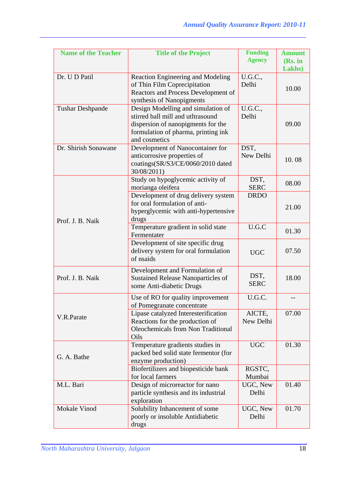| <b>Name of the Teacher</b> | <b>Title of the Project</b>                                                                                                                                           | <b>Funding</b><br><b>Agency</b> | <b>Amount</b><br>(Rs. in |
|----------------------------|-----------------------------------------------------------------------------------------------------------------------------------------------------------------------|---------------------------------|--------------------------|
|                            |                                                                                                                                                                       |                                 | Lakhs)                   |
| Dr. U D Patil              | Reaction Engineering and Modeling<br>of Thin Film Coprecipitation<br>Reactors and Process Development of<br>synthesis of Nanopigments                                 | U.G.C.,<br>Delhi                | 10.00                    |
| <b>Tushar Deshpande</b>    | Design Modelling and simulation of<br>stirred ball mill and utltrasound<br>dispersion of nanopigments for the<br>formulation of pharma, printing ink<br>and cosmetics | U.G.C.,<br>Delhi                | 09.00                    |
| Dr. Shirish Sonawane       | Development of Nanocontainer for<br>anticorrosive properties of<br>coatings(SR/S3/CE/0060/2010 dated<br>30/08/2011)                                                   | DST,<br>New Delhi               | 10.08                    |
|                            | Study on hypoglycemic activity of<br>morianga oleifera                                                                                                                | DST,<br><b>SERC</b>             | 08.00                    |
| Prof. J. B. Naik           | Development of drug delivery system<br>for oral formulation of anti-<br>hyperglycemic with anti-hypertensive<br>drugs                                                 | <b>DRDO</b>                     | 21.00                    |
|                            | Temperature gradient in solid state<br>Fermentater                                                                                                                    | U.G.C                           | 01.30                    |
|                            | Development of site specific drug<br>delivery system for oral formulation<br>of nsaids                                                                                | <b>UGC</b>                      | 07.50                    |
| Prof. J. B. Naik           | Development and Formulation of<br><b>Sustained Release Nanoparticles of</b><br>some Anti-diabetic Drugs                                                               | DST,<br><b>SERC</b>             | 18.00                    |
|                            | Use of RO for quality improvement<br>of Pomegranate concentrate                                                                                                       | U.G.C.                          |                          |
| V.R.Parate                 | Lipase catalyzed Interesterification<br>Reactions for the production of<br><b>Oleochemicals from Non Traditional</b><br>Oils                                          | AICTE,<br>New Delhi             | 07.00                    |
| G. A. Bathe                | Temperature gradients studies in<br>packed bed solid state fermentor (for<br>enzyme production)                                                                       | <b>UGC</b>                      | 01.30                    |
|                            | Biofertilizers and biopesticide bank<br>for local farmers                                                                                                             | RGSTC,<br>Mumbai                |                          |
| M.L. Bari                  | Design of microreactor for nano<br>particle synthesis and its industrial<br>exploration                                                                               | UGC, New<br>Delhi               | 01.40                    |
| Mokale Vinod               | Solubility Inhancement of some<br>poorly or insoluble Antidiabetic<br>drugs                                                                                           | UGC, New<br>Delhi               | 01.70                    |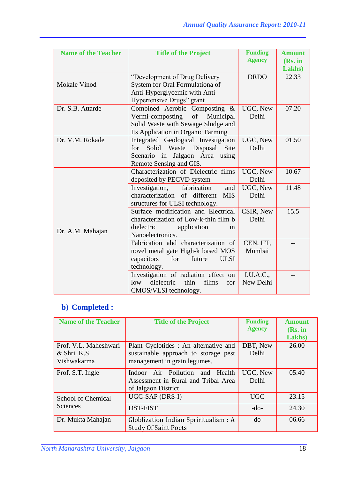| <b>Name of the Teacher</b> | <b>Title of the Project</b>                    | <b>Funding</b> | <b>Amount</b> |
|----------------------------|------------------------------------------------|----------------|---------------|
|                            |                                                | <b>Agency</b>  | (Rs. in       |
|                            |                                                |                | Lakhs)        |
|                            | "Development of Drug Delivery                  | <b>DRDO</b>    | 22.33         |
| <b>Mokale Vinod</b>        | System for Oral Formulationa of                |                |               |
|                            | Anti-Hyperglycemic with Anti                   |                |               |
|                            | Hypertensive Drugs" grant                      |                |               |
| Dr. S.B. Attarde           | Combined Aerobic Composting &                  | UGC, New       | 07.20         |
|                            | Vermi-composting<br>of<br>Municipal            | Delhi          |               |
|                            | Solid Waste with Sewage Sludge and             |                |               |
|                            | Its Application in Organic Farming             |                |               |
| Dr. V.M. Rokade            | Integrated Geological Investigation            | UGC, New       | 01.50         |
|                            | Solid Waste<br>Disposal<br>Site<br>for         | Delhi          |               |
|                            | Jalgaon Area using<br>Scenario in              |                |               |
|                            | Remote Sensing and GIS.                        |                |               |
|                            | Characterization of Dielectric films           | UGC, New       | 10.67         |
|                            | deposited by PECVD system                      | Delhi          |               |
|                            | Investigation,<br>fabrication<br>and           | UGC, New       | 11.48         |
|                            | characterization<br>of different<br><b>MIS</b> | Delhi          |               |
|                            | structures for ULSI technology.                |                |               |
|                            | Surface modification and Electrical            | CSIR, New      | 15.5          |
|                            | characterization of Low-k-thin film b          | Delhi          |               |
| Dr. A.M. Mahajan           | dielectric<br>application<br>1n                |                |               |
|                            | Nanoelectronics.                               |                |               |
|                            | Fabrication ahd characterization of            | CEN, IIT,      |               |
|                            | novel metal gate High-k based MOS              | Mumbai         |               |
|                            | capacitors<br>for<br>future<br><b>ULSI</b>     |                |               |
|                            | technology.                                    |                |               |
|                            | Investigation of radiation effect on           | I.U.A.C.,      |               |
|                            | dielectric<br>low<br>thin<br>films<br>for      | New Delhi      |               |
|                            | CMOS/VLSI technology.                          |                |               |

# **b) Completed :**

| <b>Name of the Teacher</b> | <b>Title of the Project</b>           | <b>Funding</b> | <b>Amount</b> |
|----------------------------|---------------------------------------|----------------|---------------|
|                            |                                       | <b>Agency</b>  | (Rs. in       |
|                            |                                       |                | Lakhs)        |
| Prof. V.L. Maheshwari      | Plant Cyclotides : An alternative and | DBT, New       | 26.00         |
| & Shri. K.S.               | sustainable approach to storage pest  | Delhi          |               |
| Vishwakarma                | management in grain legumes.          |                |               |
| Prof. S.T. Ingle           | Indoor Air Pollution<br>and Health    | UGC, New       | 0.5.40        |
|                            | Assessment in Rural and Tribal Area   | Delhi          |               |
|                            | of Jalgaon District                   |                |               |
| School of Chemical         | UGC-SAP (DRS-I)                       | <b>UGC</b>     | 23.15         |
| Sciences                   | DST-FIST                              | $-do-$         | 24.30         |
| Dr. Mukta Mahajan          | Globlization Indian Spriritualism : A | $-do-$         | 06.66         |
|                            | <b>Study Of Saint Poets</b>           |                |               |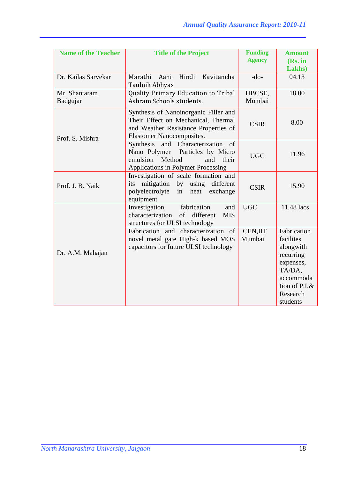| <b>Name of the Teacher</b> | <b>Title of the Project</b>                                                                                                                                           | <b>Funding</b><br><b>Agency</b> | <b>Amount</b><br>(Rs. in<br>Lakhs)                                                                                              |
|----------------------------|-----------------------------------------------------------------------------------------------------------------------------------------------------------------------|---------------------------------|---------------------------------------------------------------------------------------------------------------------------------|
| Dr. Kailas Sarvekar        | Marathi Aani<br>Hindi<br>Kavitancha<br>Taulnik Abhyas                                                                                                                 | $-do-$                          | 04.13                                                                                                                           |
| Mr. Shantaram<br>Badgujar  | Quality Primary Education to Tribal<br>Ashram Schools students.                                                                                                       | HBCSE,<br>Mumbai                | 18.00                                                                                                                           |
| Prof. S. Mishra            | Synthesis of Nanoinorganic Filler and<br>Their Effect on Mechanical, Thermal<br>and Weather Resistance Properties of<br><b>Elastomer Nanocomposites.</b>              | <b>CSIR</b>                     | 8.00                                                                                                                            |
|                            | Synthesis and Characterization<br><sub>of</sub><br>Nano Polymer Particles by Micro<br>Method<br>emulsion<br>and<br>their<br><b>Applications in Polymer Processing</b> | <b>UGC</b>                      | 11.96                                                                                                                           |
| Prof. J. B. Naik           | Investigation of scale formation and<br>mitigation by using<br>its<br>different<br>polyelectrolyte<br>heat<br>in<br>exchange<br>equipment                             | <b>CSIR</b>                     | 15.90                                                                                                                           |
|                            | fabrication<br>Investigation,<br>and<br>characterization<br>of<br>different<br><b>MIS</b><br>structures for ULSI technology                                           | <b>UGC</b>                      | 11.48 lacs                                                                                                                      |
| Dr. A.M. Mahajan           | Fabrication and characterization of<br>novel metal gate High-k based MOS<br>capacitors for future ULSI technology                                                     | <b>CEN,IIT</b><br>Mumbai        | Fabrication<br>facilites<br>alongwith<br>recurring<br>expenses,<br>TA/DA,<br>accommoda<br>tion of P.I.&<br>Research<br>students |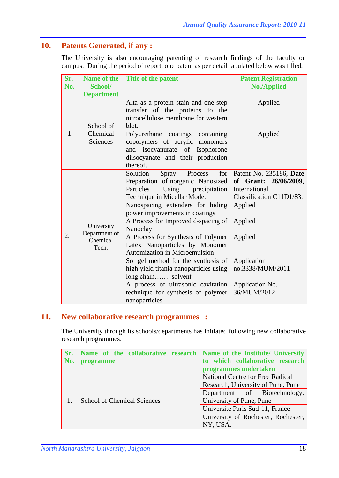## **10. Patents Generated, if any :**

The University is also encouraging patenting of research findings of the faculty on campus. During the period of report, one patent as per detail tabulated below was filled.

| Sr.<br>No. | <b>Name of the</b><br>School/           | Title of the patent                                                                                                                                                                                                                                                                                        | <b>Patent Registration</b><br><b>No./Applied</b>                                                                               |
|------------|-----------------------------------------|------------------------------------------------------------------------------------------------------------------------------------------------------------------------------------------------------------------------------------------------------------------------------------------------------------|--------------------------------------------------------------------------------------------------------------------------------|
|            | <b>Department</b>                       |                                                                                                                                                                                                                                                                                                            |                                                                                                                                |
|            | School of                               | Alta as a protein stain and one-step<br>transfer of the proteins to the<br>nitrocellulose membrane for western<br>blot.                                                                                                                                                                                    | Applied                                                                                                                        |
| 1.         | Chemical<br>Sciences                    | Polyurethane coatings<br>containing<br>copolymers of acrylic monomers<br>and isocyanurate of Isophorone<br>diisocyanate and their production<br>thereof.                                                                                                                                                   | Applied                                                                                                                        |
| 2.         | University<br>Department of<br>Chemical | Solution<br>Spray<br>Process<br>for<br>Preparation ofInorganic Nanosized<br>Particles<br>Using precipitation<br>Technique in Micellar Mode.<br>Nanospacing extenders for hiding<br>power improvements in coatings<br>A Process for Improved d-spacing of<br>Nanoclay<br>A Process for Synthesis of Polymer | Patent No. 235186, Date<br>of Grant: 26/06/2009,<br>International<br>Classification C11D1/83.<br>Applied<br>Applied<br>Applied |
|            | Tech.                                   | Latex Nanoparticles by Monomer<br>Automization in Microemulsion<br>Sol gel method for the synthesis of<br>high yield titania nanoparticles using                                                                                                                                                           | Application<br>no.3338/MUM/2011                                                                                                |
|            |                                         | long chain solvent                                                                                                                                                                                                                                                                                         |                                                                                                                                |
|            |                                         | A process of ultrasonic cavitation<br>technique for synthesis of polymer<br>nanoparticles                                                                                                                                                                                                                  | Application No.<br>36/MUM/2012                                                                                                 |

## **11. New collaborative research programmes :**

The University through its schools/departments has initiated following new collaborative research programmes.

| Sr. | Name of the collaborative research Name of the Institute/ University |                                     |
|-----|----------------------------------------------------------------------|-------------------------------------|
| No. | programme                                                            | to which collaborative research     |
|     |                                                                      | programmes undertaken               |
|     |                                                                      | National Centre for Free Radical    |
|     |                                                                      | Research, University of Pune, Pune  |
|     |                                                                      | Department of Biotechnology,        |
|     | <b>School of Chemical Sciences</b>                                   | University of Pune, Pune            |
|     |                                                                      | Universite Paris Sud-11, France     |
|     |                                                                      | University of Rochester, Rochester, |
|     |                                                                      | NY, USA.                            |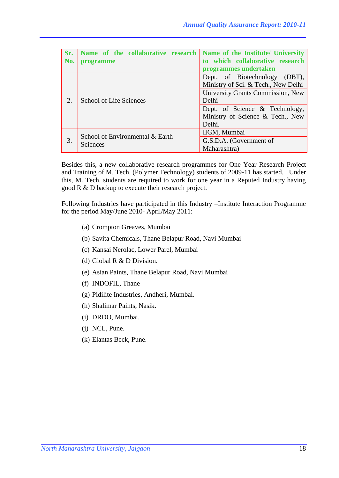| Sr.<br>No.                          | Name of the collaborative research<br>programme | Name of the Institute/ University<br>to which collaborative research                                             |
|-------------------------------------|-------------------------------------------------|------------------------------------------------------------------------------------------------------------------|
|                                     |                                                 | programmes undertaken                                                                                            |
|                                     |                                                 | Dept. of Biotechnology (DBT),<br>Ministry of Sci. & Tech., New Delhi<br><b>University Grants Commission, New</b> |
| <b>School of Life Sciences</b><br>2 |                                                 | Delhi<br>Dept. of Science & Technology,<br>Ministry of Science & Tech., New<br>Delhi.                            |
| 3.                                  | School of Environmental & Earth<br>Sciences     | IIGM, Mumbai<br>G.S.D.A. (Government of<br>Maharashtra)                                                          |

Besides this, a new collaborative research programmes for One Year Research Project and Training of M. Tech. (Polymer Technology) students of 2009-11 has started. Under this, M. Tech. students are required to work for one year in a Reputed Industry having good R & D backup to execute their research project.

Following Industries have participated in this Industry –Institute Interaction Programme for the period May/June 2010- April/May 2011:

- (a) Crompton Greaves, Mumbai
- (b) Savita Chemicals, Thane Belapur Road, Navi Mumbai
- (c) Kansai Nerolac, Lower Parel, Mumbai
- (d) Global R & D Division.
- (e) Asian Paints, Thane Belapur Road, Navi Mumbai
- (f) INDOFIL, Thane
- (g) Pidilite Industries, Andheri, Mumbai.
- (h) Shalimar Paints, Nasik.
- (i) DRDO, Mumbai.
- (j) NCL, Pune.
- (k) Elantas Beck, Pune.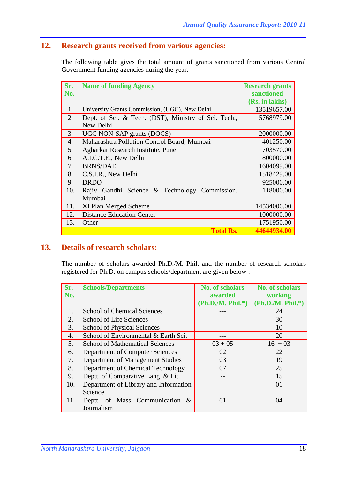## **12. Research grants received from various agencies:**

The following table gives the total amount of grants sanctioned from various Central Government funding agencies during the year.

| Sr. | <b>Name of funding Agency</b>                        | <b>Research grants</b> |
|-----|------------------------------------------------------|------------------------|
| No. |                                                      | sanctioned             |
|     |                                                      | (Rs. in lakhs)         |
| 1.  | University Grants Commission, (UGC), New Delhi       | 13519657.00            |
| 2.  | Dept. of Sci. & Tech. (DST), Ministry of Sci. Tech., | 5768979.00             |
|     | New Delhi                                            |                        |
| 3.  | UGC NON-SAP grants (DOCS)                            | 2000000.00             |
| 4.  | Maharashtra Pollution Control Board, Mumbai          | 401250.00              |
| 5.  | Agharkar Research Institute, Pune                    | 703570.00              |
| 6.  | A.I.C.T.E., New Delhi                                | 800000.00              |
| 7.  | <b>BRNS/DAE</b>                                      | 1604099.00             |
| 8.  | C.S.I.R., New Delhi                                  | 1518429.00             |
| 9.  | <b>DRDO</b>                                          | 925000.00              |
| 10. | Rajiv Gandhi Science & Technology Commission,        | 118000.00              |
|     | Mumbai                                               |                        |
| 11. | XI Plan Merged Scheme                                | 14534000.00            |
| 12. | <b>Distance Education Center</b>                     | 1000000.00             |
| 13. | Other                                                | 1751950.00             |
|     | <b>Total Rs.</b>                                     | 44644934.00            |

## **13. Details of research scholars:**

The number of scholars awarded Ph.D./M. Phil. and the number of research scholars registered for Ph.D. on campus schools/department are given below :

| Sr.              | <b>Schools/Departments</b>             | <b>No. of scholars</b> | <b>No. of scholars</b> |
|------------------|----------------------------------------|------------------------|------------------------|
| No.              |                                        | awarded                | working                |
|                  |                                        | $(Ph.D.M. Phil.*)$     | (Ph.D./M. Phil.*)      |
| 1.               | <b>School of Chemical Sciences</b>     |                        | 24                     |
| 2.               | <b>School of Life Sciences</b>         |                        | 30                     |
| 3.               | <b>School of Physical Sciences</b>     |                        | 10                     |
| $\overline{4}$ . | School of Environmental & Earth Sci.   |                        | 20                     |
| 5.               | <b>School of Mathematical Sciences</b> | $03 + 05$              | $16 + 03$              |
| 6.               | Department of Computer Sciences        | 02                     | 22                     |
| 7.               | Department of Management Studies       | 03                     | 19                     |
| 8.               | Department of Chemical Technology      | 07                     | 25                     |
| 9.               | Deptt. of Comparative Lang. & Lit.     |                        | 15                     |
| 10.              | Department of Library and Information  |                        | 01                     |
|                  | Science                                |                        |                        |
| 11.              | Deptt. of Mass Communication &         | 01                     | 04                     |
|                  | Journalism                             |                        |                        |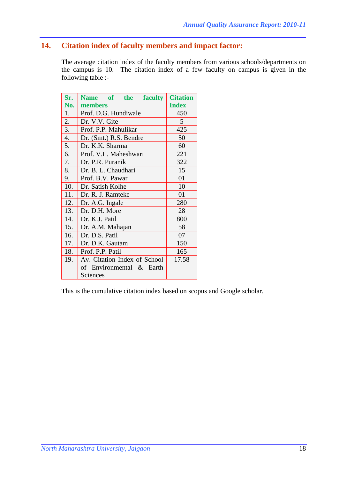## **14. Citation index of faculty members and impact factor:**

The average citation index of the faculty members from various schools/departments on the campus is 10. The citation index of a few faculty on campus is given in the following table :-

| Sr.              | Name of the faculty                   | <b>Citation</b> |  |
|------------------|---------------------------------------|-----------------|--|
| No.              | members                               | <b>Index</b>    |  |
| 1.               | Prof. D.G. Hundiwale                  | 450             |  |
| 2.               | Dr. V.V. Gite                         | 5               |  |
| 3.               | Prof. P.P. Mahulikar                  | 425             |  |
| $\overline{4}$ . | Dr. (Smt.) R.S. Bendre                | 50              |  |
| 5.               | Dr. K.K. Sharma                       | 60              |  |
| 6.               | Prof. V.L. Maheshwari                 | 221             |  |
| 7.               | Dr. P.R. Puranik                      | 322             |  |
| 8.               | Dr. B. L. Chaudhari                   | 15              |  |
| 9.               | Prof. B.V. Pawar                      | 01              |  |
| 10.              | 10<br>Dr. Satish Kolhe                |                 |  |
| 11.              | Dr. R. J. Ramteke<br>01               |                 |  |
| 12.              | Dr. A.G. Ingale<br>280                |                 |  |
| 13.              | Dr. D.H. More<br>28                   |                 |  |
| 14.              | Dr. K.J. Patil                        | 800             |  |
| 15.              | Dr. A.M. Mahajan                      | 58              |  |
| 16.              | Dr. D.S. Patil<br>07                  |                 |  |
| 17.              | Dr. D.K. Gautam<br>150                |                 |  |
| 18.              | Prof. P.P. Patil<br>165               |                 |  |
| 19.              | Av. Citation Index of School<br>17.58 |                 |  |
|                  | of Environmental & Earth              |                 |  |
|                  | Sciences                              |                 |  |

This is the cumulative citation index based on scopus and Google scholar.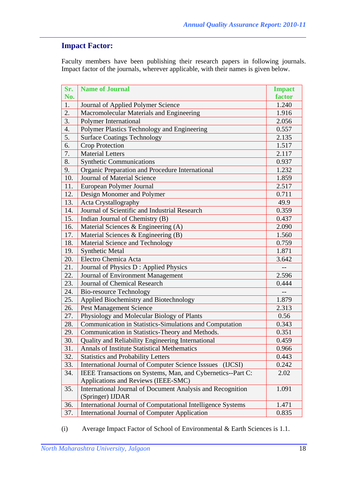## **Impact Factor:**

Faculty members have been publishing their research papers in following journals. Impact factor of the journals, wherever applicable, with their names is given below.

| Sr. | <b>Name of Journal</b>                                              | <b>Impact</b> |
|-----|---------------------------------------------------------------------|---------------|
| No. |                                                                     | factor        |
| 1.  | Journal of Applied Polymer Science                                  | 1.240         |
| 2.  | Macromolecular Materials and Engineering                            | 1.916         |
| 3.  | <b>Polymer International</b>                                        | 2.056         |
| 4.  | Polymer Plastics Technology and Engineering                         | 0.557         |
| 5.  | <b>Surface Coatings Technology</b>                                  | 2.135         |
| 6.  | <b>Crop Protection</b>                                              | 1.517         |
| 7.  | <b>Material Letters</b>                                             | 2.117         |
| 8.  | <b>Synthetic Communications</b>                                     | 0.937         |
| 9.  | Organic Preparation and Procedure International                     | 1.232         |
| 10. | <b>Journal of Material Science</b>                                  | 1.859         |
| 11. | European Polymer Journal                                            | 2.517         |
| 12. | Design Monomer and Polymer                                          | 0.711         |
| 13. | Acta Crystallography                                                | 49.9          |
| 14. | Journal of Scientific and Industrial Research                       | 0.359         |
| 15. | Indian Journal of Chemistry (B)                                     | 0.437         |
| 16. | Material Sciences & Engineering (A)                                 | 2.090         |
| 17. | Material Sciences & Engineering (B)                                 | 1.560         |
| 18. | Material Science and Technology                                     | 0.759         |
| 19. | <b>Synthetic Metal</b><br>1.871                                     |               |
| 20. | Electro Chemica Acta<br>3.642                                       |               |
| 21. | Journal of Physics D : Applied Physics                              |               |
| 22. | Journal of Environment Management                                   | 2.596         |
| 23. | Journal of Chemical Research                                        | 0.444         |
| 24. | <b>Bio-resource Technology</b>                                      |               |
| 25. | Applied Biochemistry and Biotechnology                              | 1.879         |
| 26. | <b>Pest Management Science</b>                                      | 2.313         |
| 27. | Physiology and Molecular Biology of Plants                          | 0.56          |
| 28. | Communication in Statistics-Simulations and Computation             | 0.343         |
| 29. | Communication in Statistics-Theory and Methods.                     | 0.351         |
| 30. | Quality and Reliability Engineering International                   | 0.459         |
| 31. | <b>Annals of Institute Statistical Methematics</b>                  | 0.966         |
| 32. | <b>Statistics and Probability Letters</b>                           | 0.443         |
| 33. | <b>International Journal of Computer Science Isssues</b><br>(IJCSI) | 0.242         |
| 34. | IEEE Transactions on Systems, Man, and Cybernetics--Part C:         | 2.02          |
|     | Applications and Reviews (IEEE-SMC)                                 |               |
| 35. | International Journal of Document Analysis and Recognition          | 1.091         |
|     | (Springer) IJDAR                                                    |               |
| 36. | International Journal of Computational Intelligence Systems         | 1.471         |
| 37. | <b>International Journal of Computer Application</b>                | 0.835         |

(i) Average Impact Factor of School of Environmental & Earth Sciences is 1.1.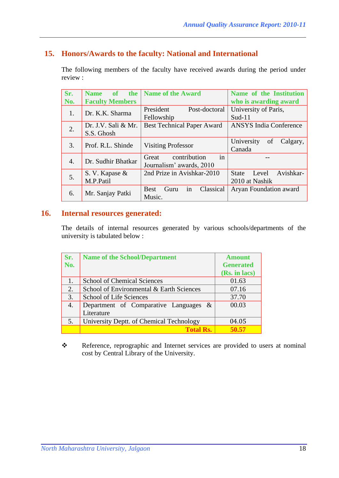## **15. Honors/Awards to the faculty: National and International**

The following members of the faculty have received awards during the period under review :

| Sr. | <b>Name</b><br><sub>of</sub><br>the | <b>Name of the Award</b>                 | Name of the Institution            |
|-----|-------------------------------------|------------------------------------------|------------------------------------|
| No. | <b>Faculty Members</b>              |                                          | who is awarding award              |
| 1.  | Dr. K.K. Sharma                     | President<br>Post-doctoral               | University of Paris,               |
|     |                                     | Fellowship                               | $Sud-11$                           |
| 2.  | Dr. J.V. Sali & Mr.                 | <b>Best Technical Paper Award</b>        | <b>ANSYS India Conference</b>      |
|     | S.S. Ghosh                          |                                          |                                    |
| 3.  | Prof. R.L. Shinde                   | <b>Visiting Professor</b>                | University<br>Calgary,<br>of       |
|     |                                     |                                          | Canada                             |
| 4.  | Dr. Sudhir Bhatkar                  | $\bullet$<br>contribution<br>Great<br>in |                                    |
|     |                                     | Journalism' awards, 2010                 |                                    |
| 5.  | S. V. Kapase &                      | 2nd Prize in Avishkar-2010               | Avishkar-<br>Level<br><b>State</b> |
|     | M.P.Patil                           |                                          | 2010 at Nashik                     |
| 6.  |                                     | in<br>Classical<br><b>Best</b><br>Guru   | Aryan Foundation award             |
|     | Mr. Sanjay Patki                    | Music.                                   |                                    |

#### **16. Internal resources generated:**

The details of internal resources generated by various schools/departments of the university is tabulated below :

| Sr.              | <b>Name of the School/Department</b>     | <b>Amount</b>    |
|------------------|------------------------------------------|------------------|
| No.              |                                          | <b>Generated</b> |
|                  |                                          | (Rs. in lacs)    |
| $\overline{1}$ . | <b>School of Chemical Sciences</b>       | 01.63            |
| 2.               | School of Environmental & Earth Sciences | 07.16            |
| 3.               | School of Life Sciences                  | 37.70            |
| 4.               | Department of Comparative Languages &    | 00.03            |
|                  | Literature                               |                  |
| 5.               | University Deptt. of Chemical Technology | 04.05            |
|                  | <b>Total Rs.</b>                         | 50.57            |

\* Reference, reprographic and Internet services are provided to users at nominal cost by Central Library of the University.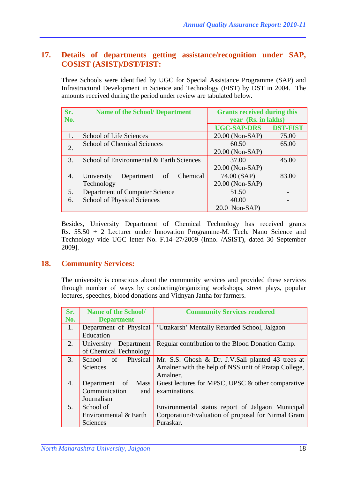## **17. Details of departments getting assistance/recognition under SAP, COSIST (ASIST)/DST/FIST:**

Three Schools were identified by UGC for Special Assistance Programme (SAP) and Infrastructural Development in Science and Technology (FIST) by DST in 2004. The amounts received during the period under review are tabulated below.

| Sr. | <b>Name of the School/ Department</b>      | <b>Grants received during this</b> |                 |
|-----|--------------------------------------------|------------------------------------|-----------------|
| No. |                                            | year (Rs. in lakhs)                |                 |
|     |                                            | <b>UGC-SAP-DRS</b>                 | <b>DST-FIST</b> |
| 1.  | School of Life Sciences                    | 20.00 (Non-SAP)                    | 75.00           |
| 2.  | <b>School of Chemical Sciences</b>         | 60.50                              | 65.00           |
|     |                                            | 20.00 (Non-SAP)                    |                 |
| 3.  | School of Environmental & Earth Sciences   | 37.00                              | 45.00           |
|     |                                            | 20.00 (Non-SAP)                    |                 |
| 4.  | Chemical<br>University<br>Department<br>of | 74.00 (SAP)                        | 83.00           |
|     | Technology                                 | 20.00 (Non-SAP)                    |                 |
| 5.  | Department of Computer Science             | 51.50                              |                 |
| 6.  | <b>School of Physical Sciences</b>         | 40.00                              |                 |
|     |                                            | $20.0$ Non-SAP)                    |                 |

Besides, University Department of Chemical Technology has received grants Rs. 55.50 + 2 Lecturer under Innovation Programme-M. Tech. Nano Science and Technology vide UGC letter No. F.14–27/2009 (Inno. /ASIST), dated 30 September 2009].

## **18. Community Services:**

The university is conscious about the community services and provided these services through number of ways by conducting/organizing workshops, street plays, popular lectures, speeches, blood donations and Vidnyan Jattha for farmers.

| Sr.            | <b>Name of the School/</b>   | <b>Community Services rendered</b>                   |
|----------------|------------------------------|------------------------------------------------------|
| No.            | <b>Department</b>            |                                                      |
| 1.             | Department of Physical       | 'Uttakarsh' Mentally Retarded School, Jalgaon        |
|                | Education                    |                                                      |
| 2.             | University<br>Department     | Regular contribution to the Blood Donation Camp.     |
|                | of Chemical Technology       |                                                      |
| 3.             | Physical<br>School of        | Mr. S.S. Ghosh & Dr. J.V. Sali planted 43 trees at   |
|                | Sciences                     | Amalner with the help of NSS unit of Pratap College, |
|                |                              | Amalner.                                             |
| 4.             | Department of<br><b>Mass</b> | Guest lectures for MPSC, UPSC & other comparative    |
|                | Communication<br>and         | examinations.                                        |
|                | Journalism                   |                                                      |
| 5 <sub>1</sub> | School of                    | Environmental status report of Jalgaon Municipal     |
|                | Environmental & Earth        | Corporation/Evaluation of proposal for Nirmal Gram   |
|                | Sciences                     | Puraskar.                                            |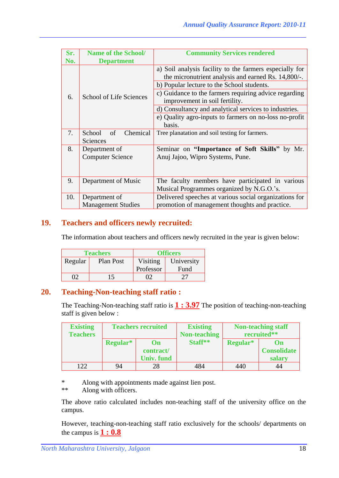| Sr.<br>No. | <b>Name of the School/</b><br><b>Department</b> | <b>Community Services rendered</b>                                                                             |
|------------|-------------------------------------------------|----------------------------------------------------------------------------------------------------------------|
|            |                                                 | a) Soil analysis facility to the farmers especially for<br>the micronutrient analysis and earned Rs. 14,800/-. |
|            | <b>School of Life Sciences</b>                  | b) Popular lecture to the School students.                                                                     |
| 6.         |                                                 | c) Guidance to the farmers requiring advice regarding<br>improvement in soil fertility.                        |
|            |                                                 | d) Consultancy and analytical services to industries.                                                          |
|            |                                                 | e) Quality agro-inputs to farmers on no-loss no-profit                                                         |
|            |                                                 | basis.                                                                                                         |
| 7.         | Chemical<br>School<br>of                        | Tree planatation and soil testing for farmers.                                                                 |
|            | Sciences                                        |                                                                                                                |
| 8.         | Department of                                   | Seminar on "Importance of Soft Skills" by Mr.                                                                  |
|            | <b>Computer Science</b>                         | Anuj Jajoo, Wipro Systems, Pune.                                                                               |
|            |                                                 |                                                                                                                |
| 9.         | Department of Music                             | The faculty members have participated in various                                                               |
|            |                                                 | Musical Programmes organized by N.G.O.'s.                                                                      |
| 10.        | Department of                                   | Delivered speeches at various social organizations for                                                         |
|            | <b>Management Studies</b>                       | promotion of management thoughts and practice.                                                                 |

## **19. Teachers and officers newly recruited:**

The information about teachers and officers newly recruited in the year is given below:

|         | <b>Teachers</b>       | <b>Officers</b> |            |  |
|---------|-----------------------|-----------------|------------|--|
| Regular | Visiting<br>Plan Post |                 | University |  |
|         |                       | Professor       | Fund       |  |
|         | 15                    |                 | 77         |  |

#### **20. Teaching-Non-teaching staff ratio :**

The Teaching-Non-teaching staff ratio is **1 : 3.97** The position of teaching-non-teaching staff is given below :

| <b>Existing</b> | <b>Teachers recruited</b> |                   | <b>Existing</b>     | <b>Non-teaching staff</b> |                    |
|-----------------|---------------------------|-------------------|---------------------|---------------------------|--------------------|
| <b>Teachers</b> |                           |                   | <b>Non-teaching</b> | recruited**               |                    |
|                 | Regular*                  | $\mathbf{On}$     | Staff**             | Regular*                  | On                 |
|                 |                           | contract/         |                     |                           | <b>Consolidate</b> |
|                 |                           | <b>Univ.</b> fund |                     |                           | salary             |
| 122             | 94                        | 28                | 484                 | 440                       | 44                 |

\* Along with appointments made against lien post.<br>\*\* Along with officers

Along with officers.

The above ratio calculated includes non-teaching staff of the university office on the campus.

However, teaching-non-teaching staff ratio exclusively for the schools/ departments on the campus is **1 : 0.8**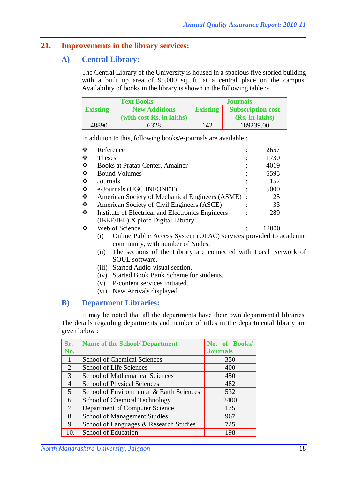## **21. Improvements in the library services:**

## **A) Central Library:**

The Central Library of the University is housed in a spacious five storied building with a built up area of 95,000 sq. ft. at a central place on the campus. Availability of books in the library is shown in the following table :-

|                                         | <b>Text Books</b>        | <b>Journals</b> |                          |  |
|-----------------------------------------|--------------------------|-----------------|--------------------------|--|
| <b>New Additions</b><br><b>Existing</b> |                          | <b>Existing</b> | <b>Subscription cost</b> |  |
|                                         | (with cost Rs. in lakhs) |                 | (Rs. In lakhs)           |  |
| 48890                                   | 6328                     | 142             | 189239.00                |  |

In addition to this, following books/e-journals are available :

| ❖ | Reference                                                                                                                 | 2657  |
|---|---------------------------------------------------------------------------------------------------------------------------|-------|
| ❖ | <b>Theses</b>                                                                                                             | 1730  |
| ❖ | Books at Pratap Center, Amalner                                                                                           | 4019  |
| ❖ | <b>Bound Volumes</b>                                                                                                      | 5595  |
| ❖ | Journals                                                                                                                  | 152   |
| ❖ | e-Journals (UGC INFONET)                                                                                                  | 5000  |
| ❖ | American Society of Mechanical Engineers (ASME) :                                                                         | 25    |
| ❖ | American Society of Civil Engineers (ASCE)                                                                                | 33    |
| ❖ | Institute of Electrical and Electronics Engineers                                                                         | 289   |
|   | (IEEE/IEL) X plore Digital Library.                                                                                       |       |
| ❖ | Web of Science                                                                                                            | 12000 |
|   | Online Public Access System (OPAC) services provided to academic<br>$\left( 1\right)$<br>community, with number of Nodes. |       |

- (ii) The sections of the Library are connected with Local Network of SOUL software.
- (iii) Started Audio-visual section.
- (iv) Started Book Bank Scheme for students.
- (v) P-content services initiated.
- (vi) New Arrivals displayed.

#### **B) Department Libraries:**

It may be noted that all the departments have their own departmental libraries. The details regarding departments and number of titles in the departmental library are given below :

| Sr. | <b>Name of the School/ Department</b>    | No. of Books/   |
|-----|------------------------------------------|-----------------|
| No. |                                          | <b>Journals</b> |
| 1.  | <b>School of Chemical Sciences</b>       | 350             |
| 2.  | School of Life Sciences                  | 400             |
| 3.  | <b>School of Mathematical Sciences</b>   | 450             |
| 4.  | <b>School of Physical Sciences</b>       | 482             |
| 5.  | School of Environmental & Earth Sciences | 532             |
| 6.  | School of Chemical Technology            | 2400            |
| 7.  | Department of Computer Science           | 175             |
| 8.  | <b>School of Management Studies</b>      | 967             |
| 9.  | School of Languages & Research Studies   | 725             |
| 10. | School of Education                      | 198             |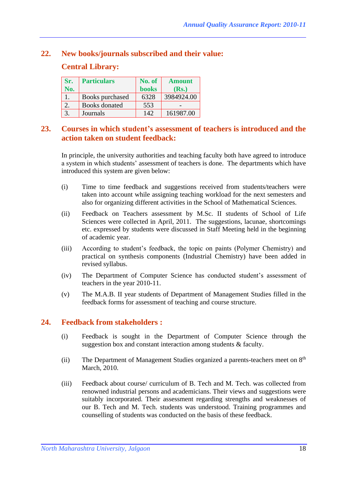### **22. New books/journals subscribed and their value:**

#### **Central Library:**

| Sr. | <b>Particulars</b>   | No. of       | <b>Amount</b> |
|-----|----------------------|--------------|---------------|
| No. |                      | <b>books</b> | (Rs.)         |
|     | Books purchased      | 6328         | 3984924.00    |
|     | <b>Books</b> donated | 553          |               |
| 3.  | Journals             | 142          | 161987.00     |

#### **23. Courses in which student's assessment of teachers is introduced and the action taken on student feedback:**

In principle, the university authorities and teaching faculty both have agreed to introduce a system in which students' assessment of teachers is done. The departments which have introduced this system are given below:

- (i) Time to time feedback and suggestions received from students/teachers were taken into account while assigning teaching workload for the next semesters and also for organizing different activities in the School of Mathematical Sciences.
- (ii) Feedback on Teachers assessment by M.Sc. II students of School of Life Sciences were collected in April, 2011. The suggestions, lacunae, shortcomings etc. expressed by students were discussed in Staff Meeting held in the beginning of academic year.
- (iii) According to student's feedback, the topic on paints (Polymer Chemistry) and practical on synthesis components (Industrial Chemistry) have been added in revised syllabus.
- (iv) The Department of Computer Science has conducted student's assessment of teachers in the year 2010-11.
- (v) The M.A.B. II year students of Department of Management Studies filled in the feedback forms for assessment of teaching and course structure.

#### **24. Feedback from stakeholders :**

- (i) Feedback is sought in the Department of Computer Science through the suggestion box and constant interaction among students & faculty.
- (ii) The Department of Management Studies organized a parents-teachers meet on 8<sup>th</sup> March, 2010.
- (iii) Feedback about course/ curriculum of B. Tech and M. Tech. was collected from renowned industrial persons and academicians. Their views and suggestions were suitably incorporated. Their assessment regarding strengths and weaknesses of our B. Tech and M. Tech. students was understood. Training programmes and counselling of students was conducted on the basis of these feedback.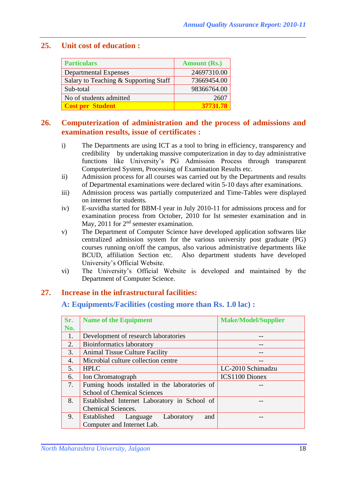### **25. Unit cost of education :**

| <b>Particulars</b>                    | <b>Amount (Rs.)</b> |  |
|---------------------------------------|---------------------|--|
| <b>Departmental Expenses</b>          | 24697310.00         |  |
| Salary to Teaching & Supporting Staff | 73669454.00         |  |
| Sub-total                             | 98366764.00         |  |
| No of students admitted               | 2602                |  |
| <b>Cost per Student</b>               | 37731.78            |  |

#### **26. Computerization of administration and the process of admissions and examination results, issue of certificates :**

- i) The Departments are using ICT as a tool to bring in efficiency, transparency and credibility by undertaking massive computerization in day to day administrative functions like University's PG Admission Process through transparent Computerized System, Processing of Examination Results etc.
- ii) Admission process for all courses was carried out by the Departments and results of Departmental examinations were declared witin 5-10 days after examinations.
- iii) Admission process was partially computerized and Time-Tables were displayed on internet for students.
- iv) E-suvidha started for BBM-I year in July 2010-11 for admissions process and for examination process from October, 2010 for Ist semester examination and in May, 2011 for 2<sup>nd</sup> semester examination.
- v) The Department of Computer Science have developed application softwares like centralized admission system for the various university post graduate (PG) courses running on/off the campus, also various administrative departments like BCUD, affiliation Section etc. Also department students have developed University's Official Website.
- vi) The University's Official Website is developed and maintained by the Department of Computer Science.

## **27. Increase in the infrastructural facilities:**

#### **A: Equipments/Facilities (costing more than Rs. 1.0 lac) :**

| Sr. | <b>Name of the Equipment</b>                  | <b>Make/Model/Supplier</b> |
|-----|-----------------------------------------------|----------------------------|
| No. |                                               |                            |
| 1.  | Development of research laboratories          | --                         |
| 2.  | <b>Bioinformatics laboratory</b>              |                            |
| 3.  | <b>Animal Tissue Culture Facility</b>         |                            |
| 4.  | Microbial culture collection centre           | --                         |
| 5.  | <b>HPLC</b>                                   | LC-2010 Schimadzu          |
| 6.  | Ion Chromatograph                             | <b>ICS1100 Dionex</b>      |
| 7.  | Fuming hoods installed in the laboratories of |                            |
|     | <b>School of Chemical Sciences</b>            |                            |
| 8.  | Established Internet Laboratory in School of  |                            |
|     | Chemical Sciences.                            |                            |
| 9.  | Established Language<br>Laboratory<br>and     |                            |
|     | Computer and Internet Lab.                    |                            |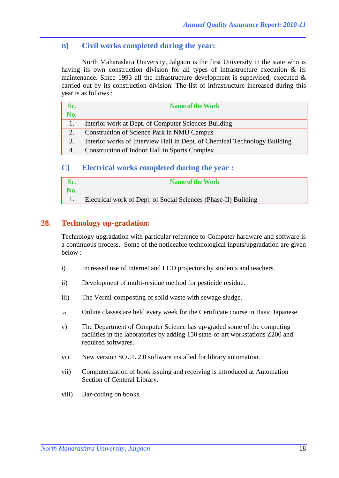## **B] Civil works completed during the year:**

North Maharashtra University, Jalgaon is the first University in the state who is having its own construction division for all types of infrastructure execution & its maintenance. Since 1993 all the infrastructure development is supervised, executed & carried out by its construction division. The list of infrastructure increased during this year is as follows :

| Sr. | <b>Name of the Work</b>                                                   |
|-----|---------------------------------------------------------------------------|
| No. |                                                                           |
| 1.  | Interior work at Dept. of Computer Sciences Building                      |
| 2.  | Construction of Science Park in NMU Campus                                |
| 3.  | Interior works of Interview Hall in Dept. of Chemical Technology Building |
| 4.  | Construction of Indoor Hall in Sports Complex                             |

#### **C] Electrical works completed during the year :**

|     | Name of the Work                                                |
|-----|-----------------------------------------------------------------|
| No. |                                                                 |
|     | Electrical work of Dept. of Social Sciences (Phase-II) Building |

## **28. Technology up-gradation:**

Technology upgradation with particular reference to Computer hardware and software is a continuous process. Some of the noticeable technological inputs/upgradation are given below :-

- i) Increased use of Internet and LCD projectors by students and teachers.
- ii) Development of multi-residue method for pesticide residue.
- iii) The Vermi-composting of solid waste with sewage sludge.
- iv) Online classes are held every week for the Certificate course in Basic Japanese.
- v) The Department of Computer Science has up-graded some of the computing facilities in the laboratories by adding 150 state-of-art workstations Z200 and required softwares.
- vi) New version SOUL 2.0 software installed for library automation.
- vii) Computerization of book issuing and receiving is introduced at Automation Section of Centeral Library.
- viii) Bar-coding on books.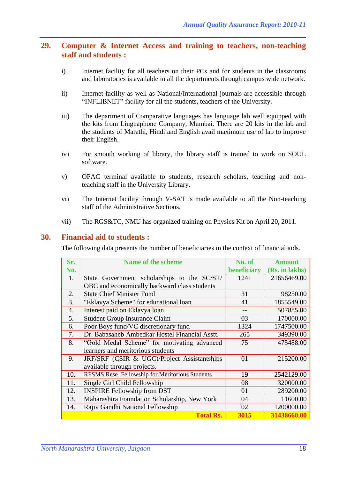### **29. Computer & Internet Access and training to teachers, non-teaching staff and students :**

- i) Internet facility for all teachers on their PCs and for students in the classrooms and laboratories is available in all the departments through campus wide network.
- ii) Internet facility as well as National/International journals are accessible through "INFLIBNET" facility for all the students, teachers of the University.
- iii) The department of Comparative languages has language lab well equipped with the kits from Linguaphone Company, Mumbai. There are 20 kits in the lab and the students of Marathi, Hindi and English avail maximum use of lab to improve their English.
- iv) For smooth working of library, the library staff is trained to work on SOUL software.
- v) OPAC terminal available to students, research scholars, teaching and nonteaching staff in the University Library.
- vi) The Internet facility through V-SAT is made available to all the Non-teaching staff of the Administrative Sections.
- vii) The RGS&TC, NMU has organized training on Physics Kit on April 20, 2011.

#### **30. Financial aid to students :**

The following data presents the number of beneficiaries in the context of financial aids.

| Sr.              | Name of the scheme                              | No. of      | <b>Amount</b>  |
|------------------|-------------------------------------------------|-------------|----------------|
| No.              |                                                 | beneficiary | (Rs. in lakhs) |
| 1.               | State Government scholarships to the SC/ST/     | 1241        | 21656469.00    |
|                  | OBC and economically backward class students    |             |                |
| 2.               | <b>State Chief Minister Fund</b>                | 31          | 98250.00       |
| 3.               | "Eklavya Scheme" for educational loan           | 41          | 1855549.00     |
| $\overline{4}$ . | Interest paid on Eklavya loan                   |             | 507885.00      |
| 5.               | <b>Student Group Insurance Claim</b>            | 03          | 170000.00      |
| 6.               | Poor Boys fund/VC discretionary fund            | 1324        | 1747500.00     |
| 7.               | Dr. Babasaheb Ambedkar Hostel Financial Asstt.  | 265         | 349390.00      |
| 8.               | "Gold Medal Scheme" for motivating advanced     | 75          | 475488.00      |
|                  | learners and meritorious students               |             |                |
| 9.               | JRF/SRF (CSIR & UGC)/Project Assistantships     | 01          | 215200.00      |
|                  | available through projects.                     |             |                |
| 10.              | RFSMS Rese. Fellowship for Meritorious Students | 19          | 2542129.00     |
| 11.              | Single Girl Child Fellowship                    | 08          | 320000.00      |
| 12.              | <b>INSPIRE Fellowship from DST</b>              | 01          | 289200.00      |
| 13.              | Maharashtra Foundation Scholarship, New York    | 04          | 11600.00       |
| 14.              | Rajiv Gandhi National Fellowship                | 02          | 1200000.00     |
|                  | <b>Total Rs.</b>                                | 3015        | 31438660.00    |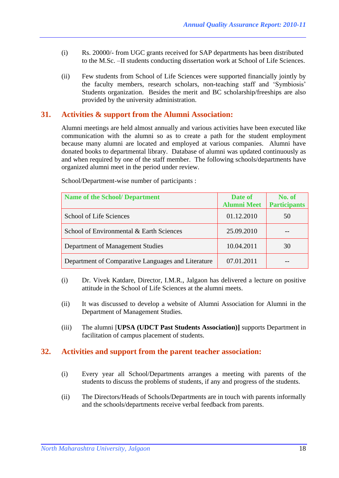- (i) Rs. 20000/- from UGC grants received for SAP departments has been distributed to the M.Sc. –II students conducting dissertation work at School of Life Sciences.
- (ii) Few students from School of Life Sciences were supported financially jointly by the faculty members, research scholars, non-teaching staff and 'Symbiosis' Students organization. Besides the merit and BC scholarship/freeships are also provided by the university administration.

## **31. Activities & support from the Alumni Association:**

Alumni meetings are held almost annually and various activities have been executed like communication with the alumni so as to create a path for the student employment because many alumni are located and employed at various companies. Alumni have donated books to departmental library. Database of alumni was updated continuously as and when required by one of the staff member. The following schools/departments have organized alumni meet in the period under review.

| Name of the School/ Department                     | Date of<br><b>Alumni Meet</b> | No. of<br><b>Participants</b> |
|----------------------------------------------------|-------------------------------|-------------------------------|
| School of Life Sciences                            | 01.12.2010                    | 50                            |
| School of Environmental & Earth Sciences           | 25.09.2010                    |                               |
| Department of Management Studies                   | 10.04.2011                    | 30                            |
| Department of Comparative Languages and Literature | 07.01.2011                    |                               |

School/Department-wise number of participants :

- (i) Dr. Vivek Katdare, Director, I.M.R., Jalgaon has delivered a lecture on positive attitude in the School of Life Sciences at the alumni meets.
- (ii) It was discussed to develop a website of Alumni Association for Alumni in the Department of Management Studies.
- (iii) The alumni [**UPSA (UDCT Past Students Association)]** supports Department in facilitation of campus placement of students.

#### **32. Activities and support from the parent teacher association:**

- (i) Every year all School/Departments arranges a meeting with parents of the students to discuss the problems of students, if any and progress of the students.
- (ii) The Directors/Heads of Schools/Departments are in touch with parents informally and the schools/departments receive verbal feedback from parents.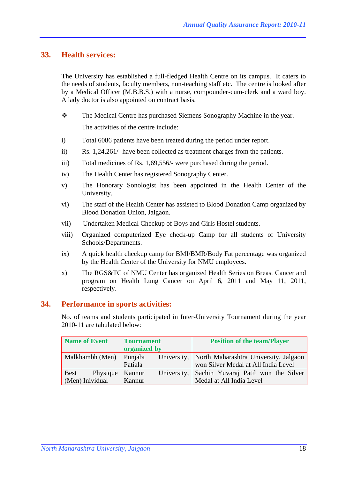### **33. Health services:**

The University has established a full-fledged Health Centre on its campus. It caters to the needs of students, faculty members, non-teaching staff etc. The centre is looked after by a Medical Officer (M.B.B.S.) with a nurse, compounder-cum-clerk and a ward boy. A lady doctor is also appointed on contract basis.

- The Medical Centre has purchased Siemens Sonography Machine in the year. The activities of the centre include:
- i) Total 6086 patients have been treated during the period under report.
- ii) Rs. 1,24,261/- have been collected as treatment charges from the patients.
- iii) Total medicines of Rs. 1,69,556/- were purchased during the period.
- iv) The Health Center has registered Sonography Center.
- v) The Honorary Sonologist has been appointed in the Health Center of the University.
- vi) The staff of the Health Center has assisted to Blood Donation Camp organized by Blood Donation Union, Jalgaon.
- vii) Undertaken Medical Checkup of Boys and Girls Hostel students.
- viii) Organized computerized Eye check-up Camp for all students of University Schools/Departments.
- ix) A quick health checkup camp for BMI/BMR/Body Fat percentage was organized by the Health Center of the University for NMU employees.
- x) The RGS&TC of NMU Center has organized Health Series on Breast Cancer and program on Health Lung Cancer on April 6, 2011 and May 11, 2011, respectively.

#### **34. Performance in sports activities:**

No. of teams and students participated in Inter-University Tournament during the year 2010-11 are tabulated below:

| <b>Name of Event</b>            | <b>Tournament</b>     | <b>Position of the team/Player</b>                |
|---------------------------------|-----------------------|---------------------------------------------------|
|                                 | organized by          |                                                   |
| Malkhambh (Men)                 | Punjabi               | University, North Maharashtra University, Jalgaon |
|                                 | Patiala               | won Silver Medal at All India Level               |
| Physique $\vert$<br><b>Best</b> | University,<br>Kannur | Sachin Yuvaraj Patil won the Silver               |
| (Men) Inividual                 | Kannur                | Medal at All India Level                          |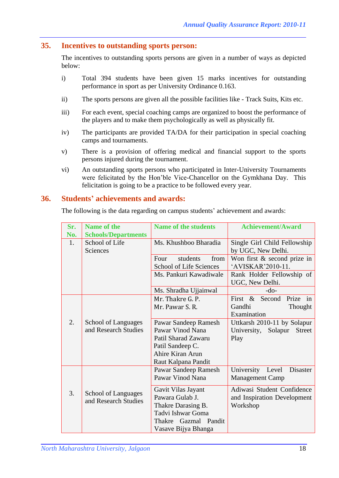#### **35. Incentives to outstanding sports person:**

The incentives to outstanding sports persons are given in a number of ways as depicted below:

- i) Total 394 students have been given 15 marks incentives for outstanding performance in sport as per University Ordinance 0.163.
- ii) The sports persons are given all the possible facilities like Track Suits, Kits etc.
- iii) For each event, special coaching camps are organized to boost the performance of the players and to make them psychologically as well as physically fit.
- iv) The participants are provided TA/DA for their participation in special coaching camps and tournaments.
- v) There is a provision of offering medical and financial support to the sports persons injured during the tournament.
- vi) An outstanding sports persons who participated in Inter-University Tournaments were felicitated by the Hon'ble Vice-Chancellor on the Gymkhana Day. This felicitation is going to be a practice to be followed every year.

#### **36. Students' achievements and awards:**

The following is the data regarding on campus students' achievement and awards:

| Sr.<br>No. | <b>Name of the</b><br><b>Schools/Departments</b>   | <b>Name of the students</b>                         | <b>Achievement/Award</b>                           |
|------------|----------------------------------------------------|-----------------------------------------------------|----------------------------------------------------|
| 1.         | School of Life<br><b>Sciences</b>                  | Ms. Khushboo Bharadia                               | Single Girl Child Fellowship<br>by UGC, New Delhi. |
|            |                                                    | students<br>from<br>Four<br>School of Life Sciences | Won first $&$ second prize in<br>'AVISKAR'2010-11. |
|            |                                                    | Ms. Pankuri Kawadiwale                              | Rank Holder Fellowship of<br>UGC, New Delhi.       |
|            |                                                    | Ms. Shradha Ujjainwal                               | $-do-$                                             |
|            |                                                    | Mr. Thakre G. P.                                    | in<br>First $\&$<br>Second<br>Prize                |
|            |                                                    | Mr. Pawar S. R.                                     | Gandhi<br>Thought                                  |
|            |                                                    |                                                     | Examination                                        |
| 2.         | School of Languages                                | Pawar Sandeep Ramesh                                | Uttkarsh 2010-11 by Solapur                        |
|            | and Research Studies                               | Pawar Vinod Nana                                    | University,<br>Solapur<br><b>Street</b>            |
|            |                                                    | Patil Sharad Zawaru                                 | Play                                               |
|            |                                                    | Patil Sandeep C.                                    |                                                    |
|            |                                                    | Ahire Kiran Arun                                    |                                                    |
|            |                                                    | Raut Kalpana Pandit                                 |                                                    |
|            |                                                    | Pawar Sandeep Ramesh                                | University<br>Disaster<br>Level                    |
|            |                                                    | Pawar Vinod Nana                                    | <b>Management Camp</b>                             |
| 3.         |                                                    | Gavit Vilas Jayant                                  | Adiwasi Student Confidence                         |
|            | <b>School of Languages</b><br>and Research Studies | Pawara Gulab J.                                     | and Inspiration Development                        |
|            |                                                    | Thakre Darasing B.                                  | Workshop                                           |
|            |                                                    | Tadvi Ishwar Goma                                   |                                                    |
|            |                                                    | Thakre Gazmal Pandit                                |                                                    |
|            |                                                    | Vasave Bijya Bhanga                                 |                                                    |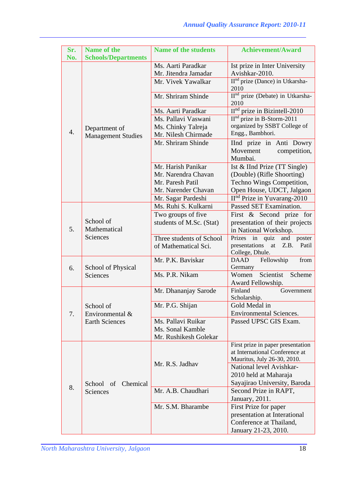| Sr.<br>No.       | <b>Name of the</b><br><b>Schools/Departments</b> | <b>Name of the students</b>                | <b>Achievement/Award</b>                                        |
|------------------|--------------------------------------------------|--------------------------------------------|-----------------------------------------------------------------|
|                  |                                                  | Ms. Aarti Paradkar<br>Mr. Jitendra Jamadar | Ist prize in Inter University<br>Avishkar-2010.                 |
|                  |                                                  | Mr. Vivek Yawalkar                         | $IInd$ prize (Dance) in Utkarsha-<br>2010                       |
|                  |                                                  | Mr. Shriram Shinde                         | II <sup>nd</sup> prize (Debate) in Utkarsha-<br>2010            |
|                  |                                                  | Ms. Aarti Paradkar                         | $\Pi^{\text{nd}}$ prize in Bizintell-2010                       |
|                  |                                                  | Ms. Pallavi Vaswani                        | $IInd$ prize in B-Storm-2011                                    |
|                  | Department of                                    | Ms. Chinky Talreja                         | organized by SSBT College of                                    |
| $\overline{4}$ . | <b>Management Studies</b>                        | Mr. Nilesh Chirmade                        | Engg., Bambhori.                                                |
|                  |                                                  | Mr. Shriram Shinde                         | IInd prize in Anti Dowry<br>Movement<br>competition,<br>Mumbai. |
|                  |                                                  | Mr. Harish Panikar                         | Ist & IInd Prize $(TT$ Single)                                  |
|                  |                                                  | Mr. Narendra Chavan                        | (Double) (Rifle Shoorting)                                      |
|                  |                                                  | Mr. Paresh Patil                           | Techno Wings Competition,                                       |
|                  |                                                  | Mr. Narender Chavan                        | Open House, UDCT, Jalgaon                                       |
|                  |                                                  | Mr. Sagar Pardeshi                         | $IInd$ Prize in Yuvarang-2010                                   |
|                  |                                                  | Ms. Ruhi S. Kulkarni                       | Passed SET Examination.                                         |
|                  |                                                  | Two groups of five                         | First & Second prize for                                        |
|                  | School of                                        | students of M.Sc. (Stat)                   | presentation of their projects                                  |
| 5.               | Mathematical                                     |                                            | in National Workshop.                                           |
|                  | <b>Sciences</b>                                  | Three students of School                   | Prizes in quiz<br>and poster                                    |
|                  |                                                  | of Mathematical Sci.                       | presentations<br>at<br>Z.B.<br>Patil<br>College, Dhule.         |
| 6.               | School of Physical                               | Mr. P.K. Baviskar                          | Fellowship<br>DAAD<br>from<br>Germany                           |
|                  | Sciences                                         | Ms. P.R. Nikam                             | Scientist<br>Scheme<br>Women<br>Award Fellowship.               |
|                  |                                                  | Mr. Dhananjay Sarode                       | Finland<br>Government                                           |
|                  |                                                  |                                            | Scholarship.                                                    |
|                  | School of                                        | Mr. P.G. Shijan                            | Gold Medal in                                                   |
| 7.               | Environmental &                                  |                                            | <b>Environmental Sciences.</b>                                  |
|                  | <b>Earth Sciences</b>                            | Ms. Pallavi Ruikar                         | Passed UPSC GIS Exam.                                           |
|                  |                                                  | Ms. Sonal Kamble                           |                                                                 |
|                  |                                                  | Mr. Rushikesh Golekar                      | First prize in paper presentation                               |
|                  |                                                  |                                            | at International Conference at                                  |
|                  |                                                  |                                            | Mauritus, July 26-30, 2010.                                     |
|                  |                                                  | Mr. R.S. Jadhav                            | National level Avishkar-                                        |
|                  |                                                  |                                            | 2010 held at Maharaja                                           |
|                  | School of Chemical                               |                                            | Sayajirao University, Baroda                                    |
| 8.               | Sciences                                         | Mr. A.B. Chaudhari                         | Second Prize in RAPT,                                           |
|                  |                                                  |                                            | January, 2011.                                                  |
|                  |                                                  | Mr. S.M. Bharambe                          | First Prize for paper                                           |
|                  |                                                  |                                            | presentation at Interational                                    |
|                  |                                                  |                                            | Conference at Thailand,                                         |
|                  |                                                  |                                            | January 21-23, 2010.                                            |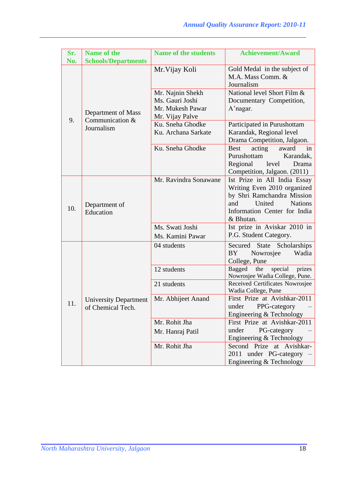| Sr. | <b>Name of the</b>                                              | <b>Name of the students</b>                                                | <b>Achievement/Award</b>                                                                                                                                                                                                                                                                                                                                                                                                                                                                                                                                                                                                                                                                                                                                                                                 |
|-----|-----------------------------------------------------------------|----------------------------------------------------------------------------|----------------------------------------------------------------------------------------------------------------------------------------------------------------------------------------------------------------------------------------------------------------------------------------------------------------------------------------------------------------------------------------------------------------------------------------------------------------------------------------------------------------------------------------------------------------------------------------------------------------------------------------------------------------------------------------------------------------------------------------------------------------------------------------------------------|
| No. | <b>Schools/Departments</b>                                      |                                                                            |                                                                                                                                                                                                                                                                                                                                                                                                                                                                                                                                                                                                                                                                                                                                                                                                          |
|     |                                                                 | Mr. Vijay Koli                                                             | Gold Medal in the subject of<br>M.A. Mass Comm. &<br>Journalism                                                                                                                                                                                                                                                                                                                                                                                                                                                                                                                                                                                                                                                                                                                                          |
|     | Department of Mass                                              | Mr. Najnin Shekh<br>Ms. Gauri Joshi<br>Mr. Mukesh Pawar<br>Mr. Vijay Palve | National level Short Film &<br>Documentary Competition,<br>A'nagar.<br>Participated in Purushottam<br>Karandak, Regional level<br>Drama Competition, Jalgaon.<br>acting<br>Best<br>award<br>in<br>Purushottam<br>Karandak,<br>Regional level<br>Drama<br>Competition, Jalgaon. (2011)<br>Ist Prize in All India Essay<br>Writing Even 2010 organized<br>by Shri Ramchandra Mission<br>United<br><b>Nations</b><br>and<br>Information Center for India<br>& Bhutan.<br>Ist prize in Aviskar 2010 in<br>P.G. Student Category.<br>Secured<br>State<br>Scholarships<br>BY<br>Nowrosjee<br>Wadia<br>College, Pune<br>Bagged<br>special<br>prizes<br>the<br>Nowrosjee Wadia College, Pune.<br>Received Certificates Nowrosjee<br>Wadia College, Pune<br>First Prize at Avishkar-2011<br>PPG-category<br>under |
| 9.  | Communication &<br>Journalism                                   | Ku. Sneha Ghodke<br>Ku. Archana Sarkate                                    |                                                                                                                                                                                                                                                                                                                                                                                                                                                                                                                                                                                                                                                                                                                                                                                                          |
|     |                                                                 | Ku. Sneha Ghodke                                                           |                                                                                                                                                                                                                                                                                                                                                                                                                                                                                                                                                                                                                                                                                                                                                                                                          |
| 10. | Department of<br>Education                                      | Mr. Ravindra Sonawane                                                      |                                                                                                                                                                                                                                                                                                                                                                                                                                                                                                                                                                                                                                                                                                                                                                                                          |
|     |                                                                 | Ms. Swati Joshi<br>Ms. Kamini Pawar                                        |                                                                                                                                                                                                                                                                                                                                                                                                                                                                                                                                                                                                                                                                                                                                                                                                          |
|     |                                                                 | 04 students                                                                |                                                                                                                                                                                                                                                                                                                                                                                                                                                                                                                                                                                                                                                                                                                                                                                                          |
|     |                                                                 | 12 students                                                                |                                                                                                                                                                                                                                                                                                                                                                                                                                                                                                                                                                                                                                                                                                                                                                                                          |
|     |                                                                 | 21 students                                                                |                                                                                                                                                                                                                                                                                                                                                                                                                                                                                                                                                                                                                                                                                                                                                                                                          |
| 11. | University Department   Mr. Abhijeet Anand<br>of Chemical Tech. |                                                                            | Engineering & Technology                                                                                                                                                                                                                                                                                                                                                                                                                                                                                                                                                                                                                                                                                                                                                                                 |
|     |                                                                 | Mr. Rohit Jha                                                              | First Prize at Avishkar-2011                                                                                                                                                                                                                                                                                                                                                                                                                                                                                                                                                                                                                                                                                                                                                                             |
|     |                                                                 | Mr. Hanraj Patil                                                           | under<br>PG-category<br>Engineering & Technology                                                                                                                                                                                                                                                                                                                                                                                                                                                                                                                                                                                                                                                                                                                                                         |
|     |                                                                 | Mr. Rohit Jha                                                              | Second Prize at Avishkar-<br>2011 under PG-category<br>Engineering & Technology                                                                                                                                                                                                                                                                                                                                                                                                                                                                                                                                                                                                                                                                                                                          |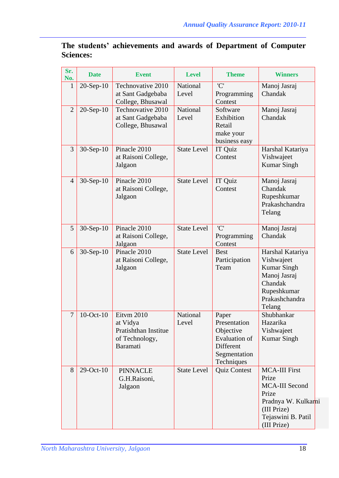|                  | The students' achievements and awards of Department of Computer |  |  |  |
|------------------|-----------------------------------------------------------------|--|--|--|
| <b>Sciences:</b> |                                                                 |  |  |  |

| Sr.<br>No.     | <b>Date</b>     | <b>Event</b>                                                                 | <b>Level</b>       | <b>Theme</b>                                                                                          | <b>Winners</b>                                                                                                                             |
|----------------|-----------------|------------------------------------------------------------------------------|--------------------|-------------------------------------------------------------------------------------------------------|--------------------------------------------------------------------------------------------------------------------------------------------|
| $\mathbf{1}$   | $20-Sep-10$     | Technovative 2010<br>at Sant Gadgebaba<br>College, Bhusawal                  | National<br>Level  | 'C'<br>Programming<br>Contest                                                                         | Manoj Jasraj<br>Chandak                                                                                                                    |
| $\overline{2}$ | $20-Sep-10$     | Technovative 2010<br>at Sant Gadgebaba<br>College, Bhusawal                  | National<br>Level  | Software<br>Exhibition<br>Retail<br>make your<br>business easy                                        | Manoj Jasraj<br>Chandak                                                                                                                    |
| 3              | $30-Sep-10$     | Pinacle 2010<br>at Raisoni College,<br>Jalgaon                               | <b>State Level</b> | IT Quiz<br>Contest                                                                                    | Harshal Katariya<br>Vishwajeet<br><b>Kumar Singh</b>                                                                                       |
| $\overline{4}$ | $30-Sep-10$     | Pinacle 2010<br>at Raisoni College,<br>Jalgaon                               | <b>State Level</b> | IT Quiz<br>Contest                                                                                    | Manoj Jasraj<br>Chandak<br>Rupeshkumar<br>Prakashchandra<br>Telang                                                                         |
| 5              | $30-Sep-10$     | Pinacle 2010<br>at Raisoni College,<br>Jalgaon                               | <b>State Level</b> | 'C'<br>Programming<br>Contest                                                                         | Manoj Jasraj<br>Chandak                                                                                                                    |
| 6              | $30-Sep-10$     | Pinacle 2010<br>at Raisoni College,<br>Jalgaon                               | <b>State Level</b> | <b>Best</b><br>Participation<br>Team                                                                  | Harshal Katariya<br>Vishwajeet<br><b>Kumar Singh</b><br>Manoj Jasraj<br>Chandak<br>Rupeshkumar<br>Prakashchandra<br>Telang                 |
| $\overline{7}$ | $10$ -Oct- $10$ | Eitvm 2010<br>at Vidya<br>Pratishthan Institue<br>of Technology,<br>Baramati | National<br>Level  | Paper<br>Presentation<br>Objective<br><b>Evaluation of</b><br>Different<br>Segmentation<br>Techniques | Shubhankar<br>Hazarika<br>Vishwajeet<br><b>Kumar Singh</b>                                                                                 |
| 8              | 29-Oct-10       | <b>PINNACLE</b><br>G.H.Raisoni,<br>Jalgaon                                   | <b>State Level</b> | <b>Quiz Contest</b>                                                                                   | <b>MCA-III First</b><br>Prize<br><b>MCA-III Second</b><br>Prize<br>Pradnya W. Kulkarni<br>(III Prize)<br>Tejaswini B. Patil<br>(III Prize) |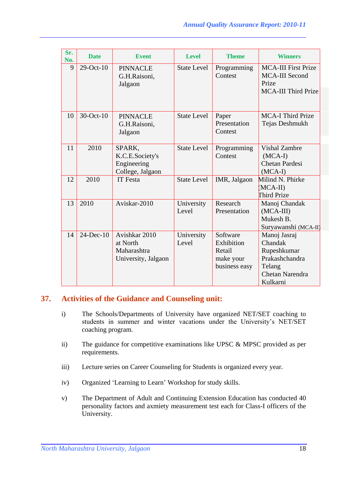| Sr.<br>No. | <b>Date</b>  | <b>Event</b>                                                    | <b>Level</b>        | <b>Theme</b>                                                   | <b>Winners</b>                                                                                    |
|------------|--------------|-----------------------------------------------------------------|---------------------|----------------------------------------------------------------|---------------------------------------------------------------------------------------------------|
| 9          | $29$ -Oct-10 | <b>PINNACLE</b><br>G.H.Raisoni,<br>Jalgaon                      | <b>State Level</b>  | Programming<br>Contest                                         | <b>MCA-III First Prize</b><br><b>MCA-III Second</b><br>Prize<br><b>MCA-III Third Prize</b>        |
| 10         | 30-Oct-10    | <b>PINNACLE</b><br>G.H.Raisoni,<br>Jalgaon                      | <b>State Level</b>  | Paper<br>Presentation<br>Contest                               | <b>MCA-I Third Prize</b><br>Tejas Deshmukh                                                        |
| 11         | 2010         | SPARK,<br>K.C.E.Society's<br>Engineering<br>College, Jalgaon    | <b>State Level</b>  | Programming<br>Contest                                         | <b>Vishal Zambre</b><br>$(MCA-I)$<br>Chetan Pardesi<br>$(MCA-I)$                                  |
| 12         | 2010         | <b>IT</b> Festa                                                 | <b>State Level</b>  | IMR, Jalgaon                                                   | Milind N. Phirke<br>(MCA-II)<br>Third Prize                                                       |
| 13         | 2010         | Aviskar-2010                                                    | University<br>Level | Research<br>Presentation                                       | Manoj Chandak<br>$(MCA-III)$<br>Mukesh B.<br>Suryawanshi (MCA-II)                                 |
| 14         | $24$ -Dec-10 | Avishkar 2010<br>at North<br>Maharashtra<br>University, Jalgaon | University<br>Level | Software<br>Exhibition<br>Retail<br>make your<br>business easy | Manoj Jasraj<br>Chandak<br>Rupeshkumar<br>Prakashchandra<br>Telang<br>Chetan Narendra<br>Kulkarni |

## **37. Activities of the Guidance and Counseling unit:**

- i) The Schools/Departments of University have organized NET/SET coaching to students in summer and winter vacations under the University's NET/SET coaching program.
- ii) The guidance for competitive examinations like UPSC & MPSC provided as per requirements.
- iii) Lecture series on Career Counseling for Students is organized every year.
- iv) Organized 'Learning to Learn' Workshop for study skills.
- v) The Department of Adult and Continuing Extension Education has conducted 40 personality factors and axmiety measurement test each for Class-I officers of the University.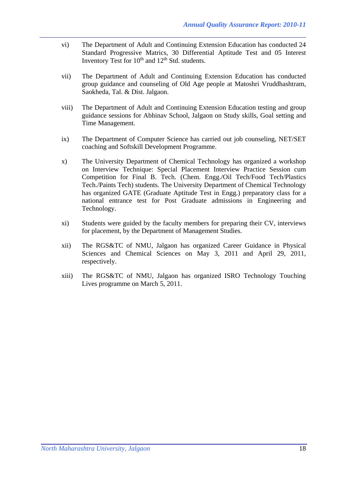- vi) The Department of Adult and Continuing Extension Education has conducted 24 Standard Progressive Matrics, 30 Differential Aptitude Test and 05 Interest Inventory Test for  $10^{th}$  and  $12^{th}$  Std. students.
- vii) The Department of Adult and Continuing Extension Education has conducted group guidance and counseling of Old Age people at Matoshri Vruddhashtram, Saokheda, Tal. & Dist. Jalgaon.
- viii) The Department of Adult and Continuing Extension Education testing and group guidance sessions for Abhinav School, Jalgaon on Study skills, Goal setting and Time Management.
- ix) The Department of Computer Science has carried out job counseling, NET/SET coaching and Softskill Development Programme.
- x) The University Department of Chemical Technology has organized a workshop on Interview Technique: Special Placement Interview Practice Session cum Competition for Final B. Tech. (Chem. Engg./Oil Tech/Food Tech/Plastics Tech./Paints Tech) students. The University Department of Chemical Technology has organized GATE (Graduate Aptitude Test in Engg.) preparatory class for a national entrance test for Post Graduate admissions in Engineering and Technology.
- xi) Students were guided by the faculty members for preparing their CV, interviews for placement, by the Department of Management Studies.
- xii) The RGS&TC of NMU, Jalgaon has organized Career Guidance in Physical Sciences and Chemical Sciences on May 3, 2011 and April 29, 2011, respectively.
- xiii) The RGS&TC of NMU, Jalgaon has organized ISRO Technology Touching Lives programme on March 5, 2011.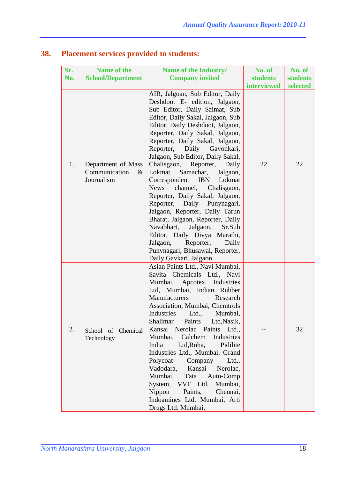| Sr. | <b>Name of the</b>                                        | Name of the Industry/                                                                                                                                                                                                                                                                                                                                                                                                                                                                                                                                                                                                                                                                                                                                                      | No. of             | No. of          |
|-----|-----------------------------------------------------------|----------------------------------------------------------------------------------------------------------------------------------------------------------------------------------------------------------------------------------------------------------------------------------------------------------------------------------------------------------------------------------------------------------------------------------------------------------------------------------------------------------------------------------------------------------------------------------------------------------------------------------------------------------------------------------------------------------------------------------------------------------------------------|--------------------|-----------------|
| No. | <b>School/Department</b>                                  | <b>Company invited</b>                                                                                                                                                                                                                                                                                                                                                                                                                                                                                                                                                                                                                                                                                                                                                     | <b>students</b>    | <b>students</b> |
|     |                                                           |                                                                                                                                                                                                                                                                                                                                                                                                                                                                                                                                                                                                                                                                                                                                                                            | <b>interviewed</b> | selected        |
| 1.  | Department of Mass<br>Communication<br>$\&$<br>Journalism | AIR, Jalgoan, Sub Editor, Daily<br>Deshdoot E- edition, Jalgaon,<br>Sub Editor, Daily Saimat, Sub<br>Editor, Daily Sakal, Jalgaon, Sub<br>Editor, Daily Deshdoot, Jalgaon,<br>Reporter, Daily Sakal, Jalgaon,<br>Reporter, Daily Sakal, Jalgaon,<br>Reporter, Daily Gavonkari,<br>Jalgaon, Sub Editor, Daily Sakal,<br>Chalisgaon, Reporter,<br>Daily<br>Lokmat<br>Samachar,<br>Jalgaon,<br>Correspondent IBN<br>Lokmat<br><b>News</b><br>channel,<br>Chalisgaon,<br>Reporter, Daily Sakal, Jalgaon,<br>Reporter, Daily Punynagari,<br>Jalgaon, Reporter, Daily Tarun<br>Bharat, Jalgaon, Reporter, Daily<br>Navabhart, Jalgaon,<br>Sr.Sub<br>Editor, Daily Divya Marathi,<br>Jalgaon,<br>Reporter,<br>Daily<br>Punynagari, Bhusawal, Reporter,<br>Daily Gavkari, Jalgaon. | 22                 | 22              |
| 2.  | School of Chemical<br>Technology                          | Asian Paints Ltd., Navi Mumbai,<br>Savita Chemicals Ltd., Navi<br>Mumbai, Apcotex Industries<br>Ltd, Mumbai, Indian Rubber<br>Manufacturers<br>Research<br>Association, Mumbai, Chemtrols<br>Industries Ltd.,<br>Mumbai,<br>Shalimar<br>Paints<br>Ltd, Nasik,<br>Kansai Nerolac Paints Ltd.,<br>Calchem<br>Industries<br>Mumbai,<br>India<br>Ltd, Roha,<br>Pidilite<br>Industries Ltd., Mumbai, Grand<br>Polycoat<br>Company<br>Ltd.,<br>Vadodara,<br>Kansai<br>Nerolac,<br>Mumbai,<br>Tata<br>Auto-Comp<br>System, VVF Ltd, Mumbai,<br>Nippon<br>Paints,<br>Chennai,<br>Indoamines Ltd. Mumbai, Arti<br>Drugs Ltd. Mumbai,                                                                                                                                                |                    | 32              |

# **38. Placement services provided to students:**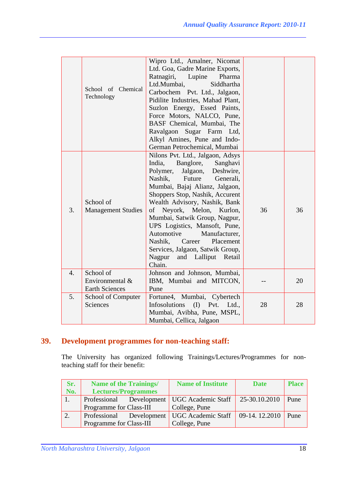|    | School of Chemical<br>Technology                      | Wipro Ltd., Amalner, Nicomat<br>Ltd. Goa, Gadre Marine Exports,<br>Ratnagiri,<br>Lupine<br>Pharma<br>Ltd.Mumbai,<br>Siddhartha<br>Carbochem Pvt. Ltd., Jalgaon,<br>Pidilite Industries, Mahad Plant,<br>Suzlon Energy, Essed Paints,<br>Force Motors, NALCO, Pune,<br>BASF Chemical, Mumbai, The<br>Ravalgaon Sugar Farm Ltd,<br>Alkyl Amines, Pune and Indo-<br>German Petrochemical, Mumbai                                                                                                      |    |    |
|----|-------------------------------------------------------|----------------------------------------------------------------------------------------------------------------------------------------------------------------------------------------------------------------------------------------------------------------------------------------------------------------------------------------------------------------------------------------------------------------------------------------------------------------------------------------------------|----|----|
| 3. | School of<br><b>Management Studies</b>                | Nilons Pvt. Ltd., Jalgaon, Adsys<br>India,<br>Banglore,<br>Sanghavi<br>Polymer,<br>Jalgaon,<br>Deshwire,<br>Nashik,<br>Future<br>Generali,<br>Mumbai, Bajaj Alianz, Jalgaon,<br>Shoppers Stop, Nashik, Accurent<br>Wealth Advisory, Nashik, Bank<br>of Neyork, Melon, Kurlon,<br>Mumbai, Satwik Group, Nagpur,<br>UPS Logistics, Mansoft, Pune,<br>Automotive<br>Manufacturer,<br>Nashik,<br>Career<br>Placement<br>Services, Jalgaon, Satwik Group,<br>Nagpur<br>and Lalliput<br>Retail<br>Chain. | 36 | 36 |
| 4. | School of<br>Environmental &<br><b>Earth Sciences</b> | Johnson and Johnson, Mumbai,<br>IBM, Mumbai and MITCON,<br>Pune                                                                                                                                                                                                                                                                                                                                                                                                                                    |    | 20 |
| 5. | School of Computer<br>Sciences                        | Fortune4, Mumbai, Cybertech<br>Infosolutions<br>(I)<br>Pvt.<br>Ltd.,<br>Mumbai, Avibha, Pune, MSPL,<br>Mumbai, Cellica, Jalgaon                                                                                                                                                                                                                                                                                                                                                                    | 28 | 28 |

# **39. Development programmes for non-teaching staff:**

The University has organized following Trainings/Lectures/Programmes for nonteaching staff for their benefit:

| Sr. | <b>Name of the Trainings/</b>               | <b>Name of Institute</b> | <b>Date</b>                 | <b>Place</b> |
|-----|---------------------------------------------|--------------------------|-----------------------------|--------------|
| No. | <b>Lectures/Programmes</b>                  |                          |                             |              |
|     | Professional Development UGC Academic Staff |                          | 25-30.10.2010               | Pune         |
|     | Programme for Class-III                     | College, Pune            |                             |              |
|     | Professional Development                    | UGC Academic Staff       | $\big  09-14.12.2010 \big $ | Pune         |
|     | Programme for Class-III                     | College, Pune            |                             |              |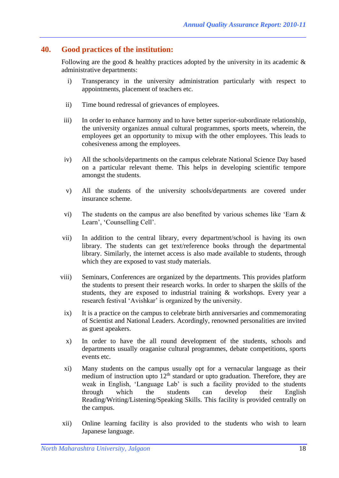#### **40. Good practices of the institution:**

Following are the good  $\&$  healthy practices adopted by the university in its academic  $\&$ administrative departments:

- i) Transperancy in the university administration particularly with respect to appointments, placement of teachers etc.
- ii) Time bound redressal of grievances of employees.
- iii) In order to enhance harmony and to have better superior-subordinate relationship, the university organizes annual cultural programmes, sports meets, wherein, the employees get an opportunity to mixup with the other employees. This leads to cohesiveness among the employees.
- iv) All the schools/departments on the campus celebrate National Science Day based on a particular relevant theme. This helps in developing scientific tempore amongst the students.
- v) All the students of the university schools/departments are covered under insurance scheme.
- vi) The students on the campus are also benefited by various schemes like 'Earn & Learn', 'Counselling Cell'.
- vii) In addition to the central library, every department/school is having its own library. The students can get text/reference books through the departmental library. Similarly, the internet access is also made available to students, through which they are exposed to vast study materials.
- viii) Seminars, Conferences are organized by the departments. This provides platform the students to present their research works. In order to sharpen the skills of the students, they are exposed to industrial training & workshops. Every year a research festival 'Avishkar' is organized by the university.
- ix) It is a practice on the campus to celebrate birth anniversaries and commemorating of Scientist and National Leaders. Acordingly, renowned personalities are invited as guest apeakers.
- x) In order to have the all round development of the students, schools and departments usually oraganise cultural programmes, debate competitions, sports events etc.
- xi) Many students on the campus usually opt for a vernacular language as their medium of instruction upto  $12<sup>th</sup>$  standard or upto graduation. Therefore, they are weak in English, 'Language Lab' is such a facility provided to the students through which the students can develop their English Reading/Writing/Listening/Speaking Skills. This facility is provided centrally on the campus.
- xii) Online learning facility is also provided to the students who wish to learn Japanese language.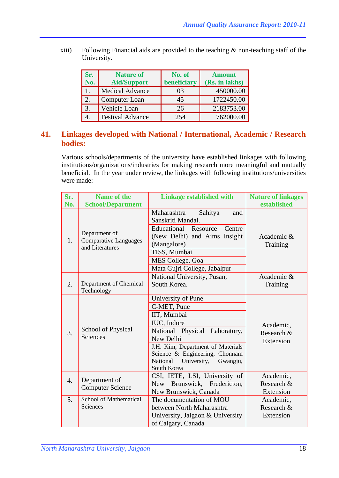xiii) Following Financial aids are provided to the teaching  $\&$  non-teaching staff of the University.

| Sr.<br>No.       | <b>Nature of</b><br><b>Aid/Support</b> | No. of<br>beneficiary | <b>Amount</b><br>(Rs. in lakhs) |
|------------------|----------------------------------------|-----------------------|---------------------------------|
|                  | <b>Medical Advance</b>                 | 03                    | 450000.00                       |
| $\overline{2}$ . | Computer Loan                          | 45                    | 1722450.00                      |
| $\overline{3}$ . | Vehicle Loan                           | 26                    | 2183753.00                      |
|                  | <b>Festival Advance</b>                | 254                   | 762000.00                       |

## **41. Linkages developed with National / International, Academic / Research bodies:**

Various schools/departments of the university have established linkages with following institutions/organizations/industries for making research more meaningful and mutually beneficial. In the year under review, the linkages with following institutions/universities were made:

| Sr.              | <b>Name of the</b>                                               | <b>Linkage established with</b>                                                                                                                                                                                                            | <b>Nature of linkages</b>            |
|------------------|------------------------------------------------------------------|--------------------------------------------------------------------------------------------------------------------------------------------------------------------------------------------------------------------------------------------|--------------------------------------|
| No.              | <b>School/Department</b>                                         |                                                                                                                                                                                                                                            | established                          |
| 1.               | Department of<br><b>Comparative Languages</b><br>and Literatures | Maharashtra<br>Sahitya<br>and<br>Sanskriti Mandal.<br>Educational Resource<br>Centre<br>(New Delhi) and Aims Insight<br>(Mangalore)<br>TISS, Mumbai                                                                                        | Academic &<br>Training               |
|                  |                                                                  | MES College, Goa<br>Mata Gujri College, Jabalpur                                                                                                                                                                                           |                                      |
| 2.               | Department of Chemical                                           | National University, Pusan,<br>South Korea.                                                                                                                                                                                                | Academic &<br>Training               |
|                  | Technology                                                       |                                                                                                                                                                                                                                            |                                      |
| 3.               | School of Physical<br><b>Sciences</b>                            | University of Pune<br>C-MET, Pune<br>IIT, Mumbai<br>IUC, Indore<br>National Physical Laboratory,<br>New Delhi<br>J.H. Kim, Department of Materials<br>Science & Engineering, Chonnam<br>National<br>University,<br>Gwangju,<br>South Korea | Academic,<br>Research &<br>Extension |
| $\overline{4}$ . | Department of<br><b>Computer Science</b>                         | CSI, IETE, LSI, University of<br>New Brunswick, Fredericton,<br>New Brunswick, Canada                                                                                                                                                      | Academic,<br>Research &<br>Extension |
| 5.               | <b>School of Mathematical</b><br>Sciences                        | The documentation of MOU<br>between North Maharashtra<br>University, Jalgaon & University<br>of Calgary, Canada                                                                                                                            | Academic,<br>Research &<br>Extension |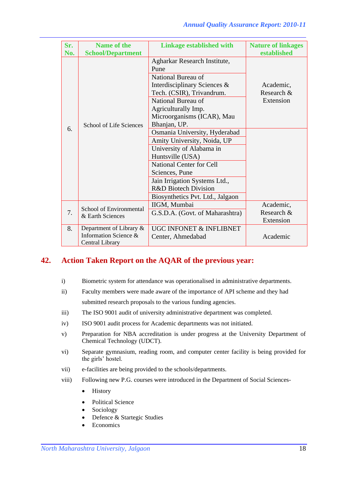| Sr. | Name of the                                                            | <b>Linkage established with</b>                                                                                                                                                                                                                                           | <b>Nature of linkages</b>            |
|-----|------------------------------------------------------------------------|---------------------------------------------------------------------------------------------------------------------------------------------------------------------------------------------------------------------------------------------------------------------------|--------------------------------------|
| No. | <b>School/Department</b>                                               |                                                                                                                                                                                                                                                                           | established                          |
| 6.  | School of Life Sciences                                                | Agharkar Research Institute,<br>Pune<br>National Bureau of<br>Interdisciplinary Sciences &<br>Tech. (CSIR), Trivandrum.<br>National Bureau of<br>Agriculturally Imp.<br>Microorganisms (ICAR), Mau<br>Bhanjan, UP.                                                        | Academic,<br>Research &<br>Extension |
|     |                                                                        | Osmania University, Hyderabad<br>Amity University, Noida, UP<br>University of Alabama in<br>Huntsville (USA)<br><b>National Center for Cell</b><br>Sciences, Pune<br>Jain Irrigation Systems Ltd.,<br><b>R&amp;D Biotech Division</b><br>Biosynthetics Pvt. Ltd., Jalgaon |                                      |
| 7.  | School of Environmental<br>& Earth Sciences                            | IIGM, Mumbai<br>G.S.D.A. (Govt. of Maharashtra)                                                                                                                                                                                                                           | Academic,<br>Research &<br>Extension |
| 8.  | Department of Library $\&$<br>Information Science &<br>Central Library | <b>UGC INFONET &amp; INFLIBNET</b><br>Center, Ahmedabad                                                                                                                                                                                                                   | Academic                             |

## **42. Action Taken Report on the AQAR of the previous year:**

- i) Biometric system for attendance was operationalised in administrative departments.
- ii) Faculty members were made aware of the importance of API scheme and they had submitted research proposals to the various funding agencies.
- iii) The ISO 9001 audit of university administrative department was completed.
- iv) ISO 9001 audit process for Academic departments was not initiated.
- v) Preparation for NBA accreditation is under progress at the University Department of Chemical Technology (UDCT).
- vi) Separate gymnasium, reading room, and computer center facility is being provided for the girls' hostel.
- vii) e-facilities are being provided to the schools/departments.
- viii) Following new P.G. courses were introduced in the Department of Social Sciences-
	- History
	- Political Science
	- Sociology
	- Defence & Startegic Studies
	- **Economics**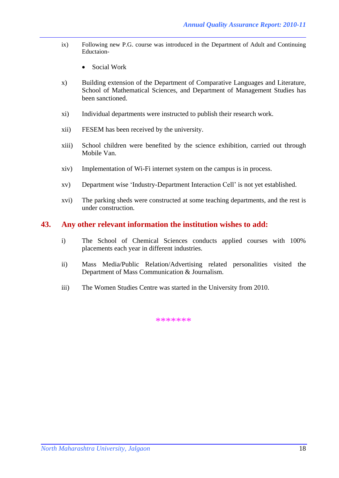- ix) Following new P.G. course was introduced in the Department of Adult and Continuing Eductaion-
	- Social Work
- x) Building extension of the Department of Comparative Languages and Literature, School of Mathematical Sciences, and Department of Management Studies has been sanctioned.
- xi) Individual departments were instructed to publish their research work.
- xii) FESEM has been received by the university.
- xiii) School children were benefited by the science exhibition, carried out through Mobile Van.
- xiv) Implementation of Wi-Fi internet system on the campus is in process.
- xv) Department wise 'Industry-Department Interaction Cell' is not yet established.
- xvi) The parking sheds were constructed at some teaching departments, and the rest is under construction.

#### **43. Any other relevant information the institution wishes to add:**

- i) The School of Chemical Sciences conducts applied courses with 100% placements each year in different industries.
- ii) Mass Media/Public Relation/Advertising related personalities visited the Department of Mass Communication & Journalism.
- iii) The Women Studies Centre was started in the University from 2010.

\*\*\*\*\*\*\*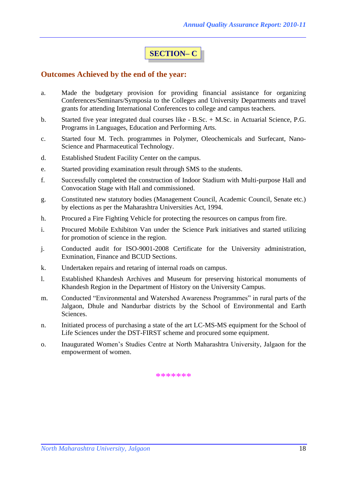# **SECTION– C**

#### **Outcomes Achieved by the end of the year:**

- a. Made the budgetary provision for providing financial assistance for organizing Conferences/Seminars/Symposia to the Colleges and University Departments and travel grants for attending International Conferences to college and campus teachers.
- b. Started five year integrated dual courses like B.Sc. + M.Sc. in Actuarial Science, P.G. Programs in Languages, Education and Performing Arts.
- c. Started four M. Tech. programmes in Polymer, Oleochemicals and Surfecant, Nano-Science and Pharmaceutical Technology.
- d. Established Student Facility Center on the campus.
- e. Started providing examination result through SMS to the students.
- f. Successfully completed the construction of Indoor Stadium with Multi-purpose Hall and Convocation Stage with Hall and commissioned.
- g. Constituted new statutory bodies (Management Council, Academic Council, Senate etc.) by elections as per the Maharashtra Universities Act, 1994.
- h. Procured a Fire Fighting Vehicle for protecting the resources on campus from fire.
- i. Procured Mobile Exhibiton Van under the Science Park initiatives and started utilizing for promotion of science in the region.
- j. Conducted audit for ISO-9001-2008 Certificate for the University administration, Exmination, Finance and BCUD Sections.
- k. Undertaken repairs and retaring of internal roads on campus.
- l. Established Khandesh Archives and Museum for preserving historical monuments of Khandesh Region in the Department of History on the University Campus.
- m. Conducted "Environmental and Watershed Awareness Programmes" in rural parts of the Jalgaon, Dhule and Nandurbar districts by the School of Environmental and Earth Sciences.
- n. Initiated process of purchasing a state of the art LC-MS-MS equipment for the School of Life Sciences under the DST-FIRST scheme and procured some equipment.
- o. Inaugurated Women's Studies Centre at North Maharashtra University, Jalgaon for the empowerment of women.

\*\*\*\*\*\*\*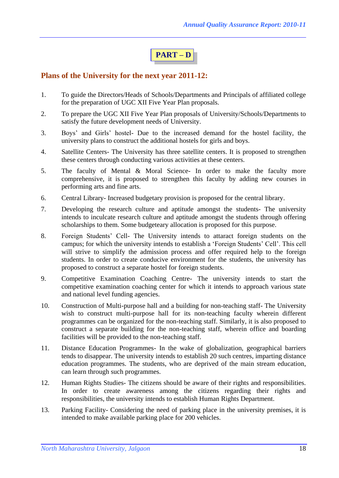# **PART – D**

## **Plans of the University for the next year 2011-12:**

- 1. To guide the Directors/Heads of Schools/Departments and Principals of affiliated college for the preparation of UGC XII Five Year Plan proposals.
- 2. To prepare the UGC XII Five Year Plan proposals of University/Schools/Departments to satisfy the future development needs of University.
- 3. Boys' and Girls' hostel- Due to the increased demand for the hostel facility, the university plans to construct the additional hostels for girls and boys.
- 4. Satellite Centers- The University has three satellite centers. It is proposed to strengthen these centers through conducting various activities at these centers.
- 5. The faculty of Mental & Moral Science- In order to make the faculty more comprehensive, it is proposed to strengthen this faculty by adding new courses in performing arts and fine arts.
- 6. Central Library- Increased budgetary provision is proposed for the central library.
- 7. Developing the research culture and aptitude amongst the students- The university intends to inculcate research culture and aptitude amongst the students through offering scholarships to them. Some budgeteary allocation is proposed for this purpose.
- 8. Foreign Students' Cell- The University intends to attaract foreign students on the campus; for which the university intends to establish a 'Foreign Students' Cell'. This cell will strive to simplify the admission process and offer required help to the foreign students. In order to create conducive environment for the students, the university has proposed to construct a separate hostel for foreign students.
- 9. Competitive Examination Coaching Centre- The university intends to start the competitive examination coaching center for which it intends to approach various state and national level funding agencies.
- 10. Construction of Multi-purpose hall and a building for non-teaching staff- The University wish to construct multi-purpose hall for its non-teaching faculty wherein different programmes can be organized for the non-teaching staff. Similarly, it is also proposed to construct a separate building for the non-teaching staff, wherein office and boarding facilities will be provided to the non-teaching staff.
- 11. Distance Education Programmes- In the wake of globalization, geographical barriers tends to disappear. The university intends to establish 20 such centres, imparting distance education programmes. The students, who are deprived of the main stream education, can learn through such programmes.
- 12. Human Rights Studies- The citizens should be aware of their rights and responsibilities. In order to create awareness among the citizens regarding their rights and responsibilities, the university intends to establish Human Rights Department.
- 13. Parking Facility- Considering the need of parking place in the university premises, it is intended to make available parking place for 200 vehicles.